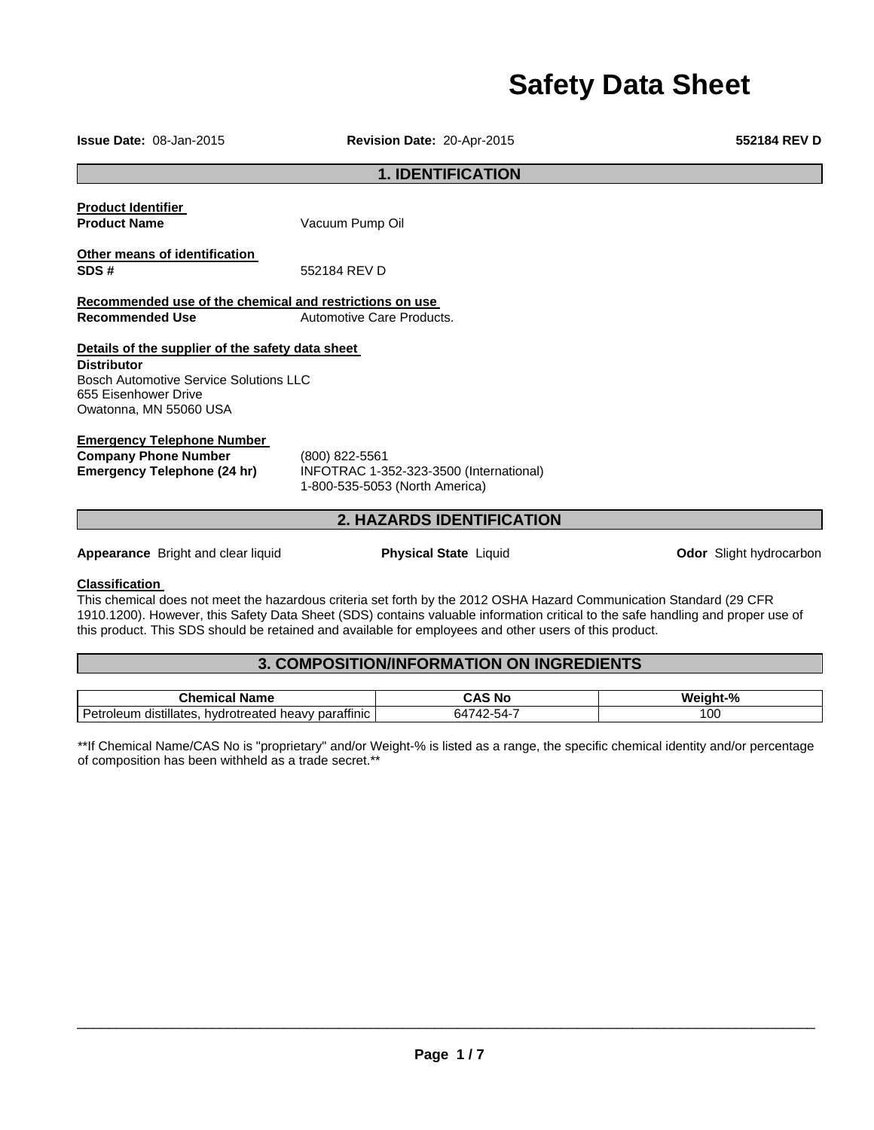# **Safety Data Sheet**

**Product Identifier Product Name Vacuum Pump Oil Other means of identification SDS #** 552184 REV D **Recommended use of the chemical and restrictions on use Recommended Use Automotive Care Products. Distributor Emergency Telephone Number Company Phone Number** (800) 822-5561 **Emergency Telephone (24 hr)** INFOTRAC 1-352-323-3500 (International) 1-800-535-5053 (North America)

**Appearance** Bright and clear liquid **Physical State** Liquid **Odor Slight hydrocarbon** 

#### **Classification**

This chemical does not meet the hazardous criteria set forth by the 2012 OSHA Hazard Communication Standard (29 CFR 1910.1200). However, this Safety Data Sheet (SDS) contains valuable information critical to the safe handling and proper use of this product. This SDS should be retained and available for employees and other users of this product.

# **3. COMPOSITION/INFORMATION ON INGREDIENTS**

| Name<br>∴ne"<br>ш                                                                                 | N0               | $\Omega$<br>w |
|---------------------------------------------------------------------------------------------------|------------------|---------------|
| $-$<br><br>parattinic<br>distillates<br>.<br>Petroleun<br>hvdr.<br>heavv<br>otreated <sup>.</sup> | 64<br>-54-<br>74 | 100           |

\*\*If Chemical Name/CAS No is "proprietary" and/or Weight-% is listed as a range, the specific chemical identity and/or percentage of composition has been withheld as a trade secret.\*\*

\_\_\_\_\_\_\_\_\_\_\_\_\_\_\_\_\_\_\_\_\_\_\_\_\_\_\_\_\_\_\_\_\_\_\_\_\_\_\_\_\_\_\_\_\_\_\_\_\_\_\_\_\_\_\_\_\_\_\_\_\_\_\_\_\_\_\_\_\_\_\_\_\_\_\_\_\_\_\_\_\_\_\_\_\_\_\_\_\_\_\_\_\_

**1. IDENTIFICATION** 

# **Details of the supplier of the safety data sheet**

Bosch Automotive Service Solutions LLC 655 Eisenhower Drive Owatonna, MN 55060 USA

**2. HAZARDS IDENTIFICATION** 

**Issue Date:** 08-Jan-2015 **Revision Date:** 20-Apr-2015 **552184 REV D**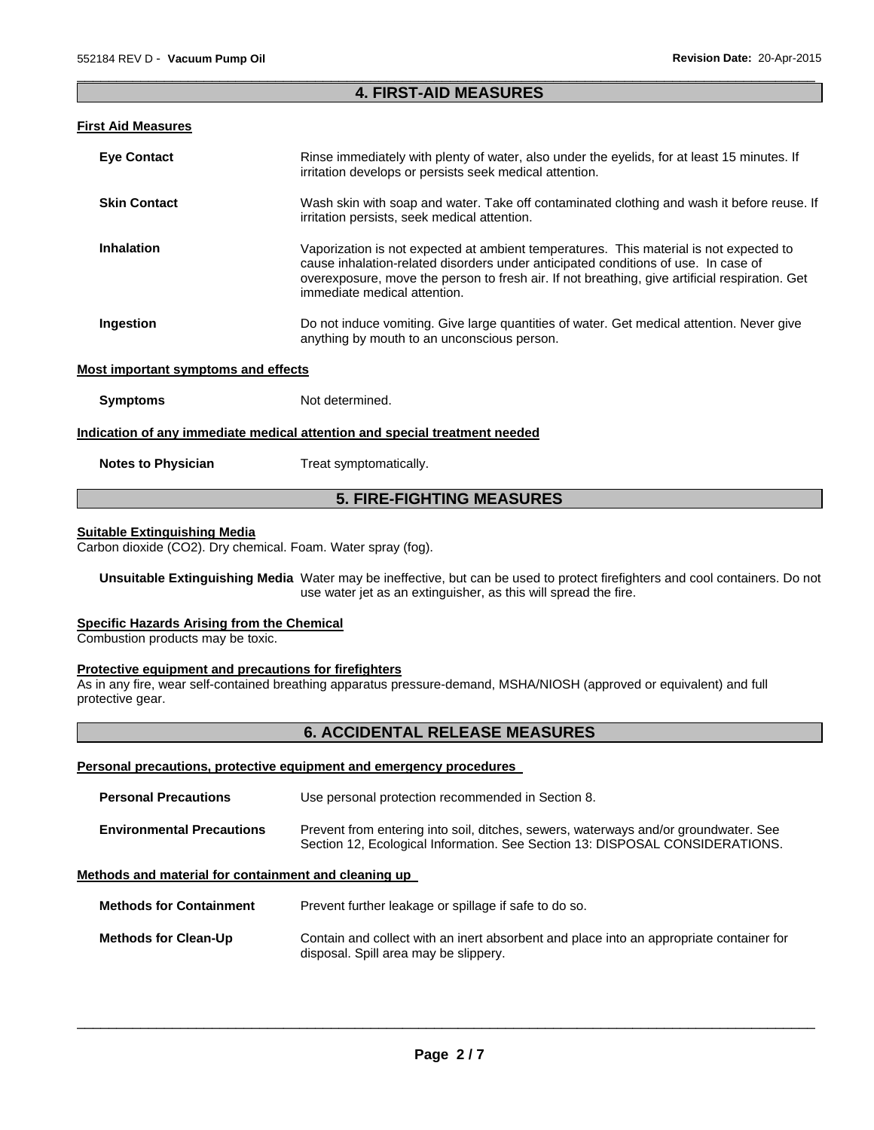# $\Box$ **4. FIRST-AID MEASURES**

# **First Aid Measures**

| <b>Eye Contact</b>  | Rinse immediately with plenty of water, also under the eyelids, for at least 15 minutes. If<br>irritation develops or persists seek medical attention.                                                                                                                                                         |
|---------------------|----------------------------------------------------------------------------------------------------------------------------------------------------------------------------------------------------------------------------------------------------------------------------------------------------------------|
| <b>Skin Contact</b> | Wash skin with soap and water. Take off contaminated clothing and wash it before reuse. If<br>irritation persists, seek medical attention.                                                                                                                                                                     |
| <b>Inhalation</b>   | Vaporization is not expected at ambient temperatures. This material is not expected to<br>cause inhalation-related disorders under anticipated conditions of use. In case of<br>overexposure, move the person to fresh air. If not breathing, give artificial respiration. Get<br>immediate medical attention. |
| Ingestion           | Do not induce vomiting. Give large quantities of water. Get medical attention. Never give<br>anything by mouth to an unconscious person.                                                                                                                                                                       |

#### **Most important symptoms and effects**

**Symptoms** Not determined.

#### **Indication of any immediate medical attention and special treatment needed**

**Notes to Physician**  Treat symptomatically.

# **5. FIRE-FIGHTING MEASURES**

# **Suitable Extinguishing Media**

Carbon dioxide (CO2). Dry chemical. Foam. Water spray (fog).

**Unsuitable Extinguishing Media** Water may be ineffective, but can be used to protect firefighters and cool containers. Do not use water jet as an extinguisher, as this will spread the fire.

#### **Specific Hazards Arising from the Chemical**

Combustion products may be toxic.

#### **Protective equipment and precautions for firefighters**

As in any fire, wear self-contained breathing apparatus pressure-demand, MSHA/NIOSH (approved or equivalent) and full protective gear.

# **6. ACCIDENTAL RELEASE MEASURES**

#### **Personal precautions, protective equipment and emergency procedures**

| <b>Personal Precautions</b>                          | Use personal protection recommended in Section 8.                                                                                                                   |
|------------------------------------------------------|---------------------------------------------------------------------------------------------------------------------------------------------------------------------|
| <b>Environmental Precautions</b>                     | Prevent from entering into soil, ditches, sewers, waterways and/or groundwater. See<br>Section 12, Ecological Information. See Section 13: DISPOSAL CONSIDERATIONS. |
| Methods and material for containment and cleaning up |                                                                                                                                                                     |
| <b>Methods for Containment</b>                       | Prevent further leakage or spillage if safe to do so.                                                                                                               |

| Methods for Clean-Up | Contain and collect with an inert absorbent and place into an appropriate container for |
|----------------------|-----------------------------------------------------------------------------------------|
|                      | disposal. Spill area may be slippery.                                                   |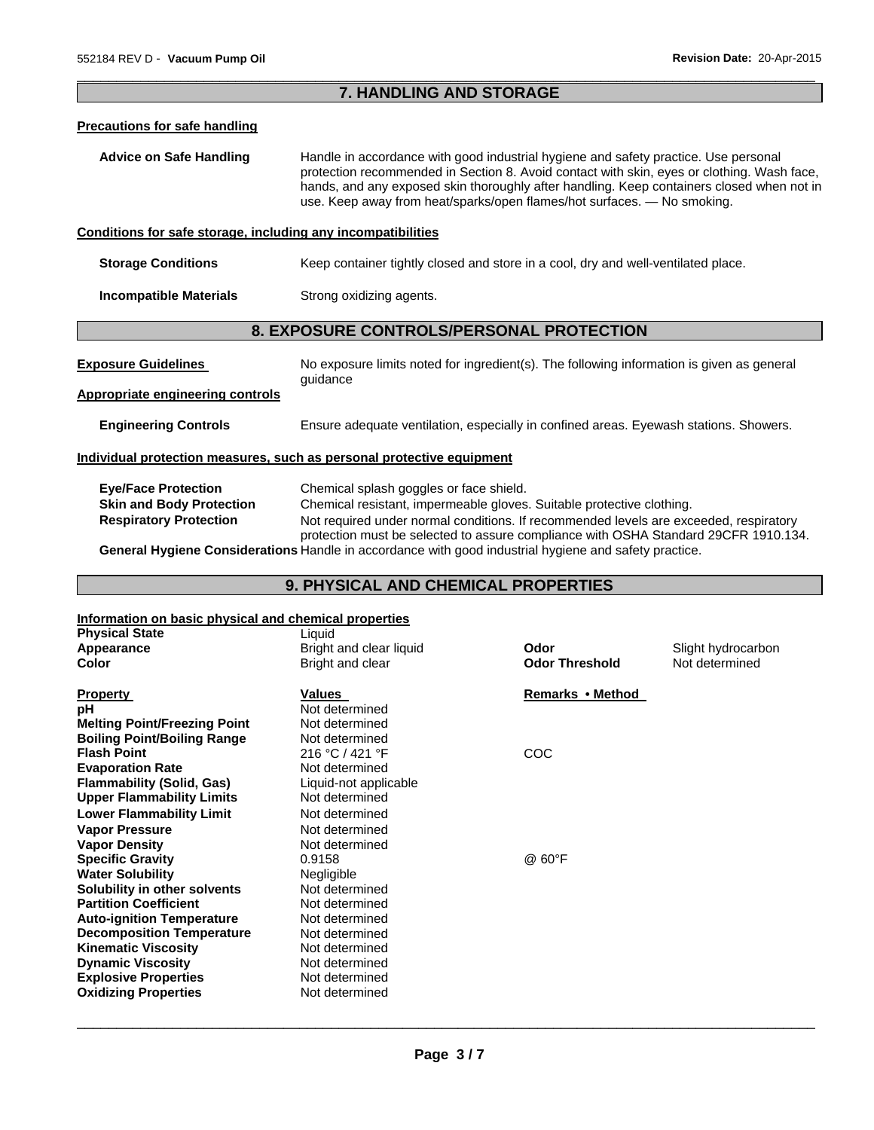# $\Box$ **7. HANDLING AND STORAGE**

# **Precautions for safe handling**

| Advice on Safe Handling | Handle in accordance with good industrial hygiene and safety practice. Use personal        |
|-------------------------|--------------------------------------------------------------------------------------------|
|                         | protection recommended in Section 8. Avoid contact with skin, eyes or clothing. Wash face, |
|                         | hands, and any exposed skin thoroughly after handling. Keep containers closed when not in  |
|                         | use. Keep away from heat/sparks/open flames/hot surfaces. — No smoking.                    |

# **Conditions for safe storage, including any incompatibilities**

**Storage Conditions Keep container tightly closed and store in a cool, dry and well-ventilated place.** 

**Incompatible Materials Strong oxidizing agents.** 

# **8. EXPOSURE CONTROLS/PERSONAL PROTECTION**

| <b>Exposure Guidelines</b>                                            | No exposure limits noted for ingredient(s). The following information is given as general<br>quidance |  |
|-----------------------------------------------------------------------|-------------------------------------------------------------------------------------------------------|--|
| <b>Appropriate engineering controls</b>                               |                                                                                                       |  |
| <b>Engineering Controls</b>                                           | Ensure adequate ventilation, especially in confined areas. Eyewash stations. Showers.                 |  |
| Individual protection measures, such as personal protective equipment |                                                                                                       |  |

| <b>Eye/Face Protection</b>      | Chemical splash goggles or face shield.                                                                 |
|---------------------------------|---------------------------------------------------------------------------------------------------------|
| <b>Skin and Body Protection</b> | Chemical resistant, impermeable gloves. Suitable protective clothing.                                   |
| <b>Respiratory Protection</b>   | Not required under normal conditions. If recommended levels are exceeded, respiratory                   |
|                                 | protection must be selected to assure compliance with OSHA Standard 29CFR 1910.134.                     |
|                                 | Conoral Hypiano Conoiderational legale in essendence with great industrial hypiano and estaty prostice. |

**General Hygiene Considerations** Handle in accordance with good industrial hygiene and safety practice.

# **9. PHYSICAL AND CHEMICAL PROPERTIES**

# **Information on basic physical and chemical properties**

| <b>Physical State</b>               | Liquid                  |                       |                    |
|-------------------------------------|-------------------------|-----------------------|--------------------|
| Appearance                          | Bright and clear liquid | Odor                  | Slight hydrocarbon |
| Color                               | Bright and clear        | <b>Odor Threshold</b> | Not determined     |
| <b>Property</b>                     | <b>Values</b>           | Remarks • Method      |                    |
| рH                                  | Not determined          |                       |                    |
| <b>Melting Point/Freezing Point</b> | Not determined          |                       |                    |
| <b>Boiling Point/Boiling Range</b>  | Not determined          |                       |                    |
| <b>Flash Point</b>                  | 216 °C / 421 °F         | COC                   |                    |
| <b>Evaporation Rate</b>             | Not determined          |                       |                    |
| <b>Flammability (Solid, Gas)</b>    | Liquid-not applicable   |                       |                    |
| <b>Upper Flammability Limits</b>    | Not determined          |                       |                    |
| <b>Lower Flammability Limit</b>     | Not determined          |                       |                    |
| <b>Vapor Pressure</b>               | Not determined          |                       |                    |
| <b>Vapor Density</b>                | Not determined          |                       |                    |
| <b>Specific Gravity</b>             | 0.9158                  | @ 60°F                |                    |
| <b>Water Solubility</b>             | Negligible              |                       |                    |
| Solubility in other solvents        | Not determined          |                       |                    |
| <b>Partition Coefficient</b>        | Not determined          |                       |                    |
| <b>Auto-ignition Temperature</b>    | Not determined          |                       |                    |
| <b>Decomposition Temperature</b>    | Not determined          |                       |                    |
| <b>Kinematic Viscosity</b>          | Not determined          |                       |                    |
| <b>Dynamic Viscosity</b>            | Not determined          |                       |                    |
| <b>Explosive Properties</b>         | Not determined          |                       |                    |
| <b>Oxidizing Properties</b>         | Not determined          |                       |                    |
|                                     |                         |                       |                    |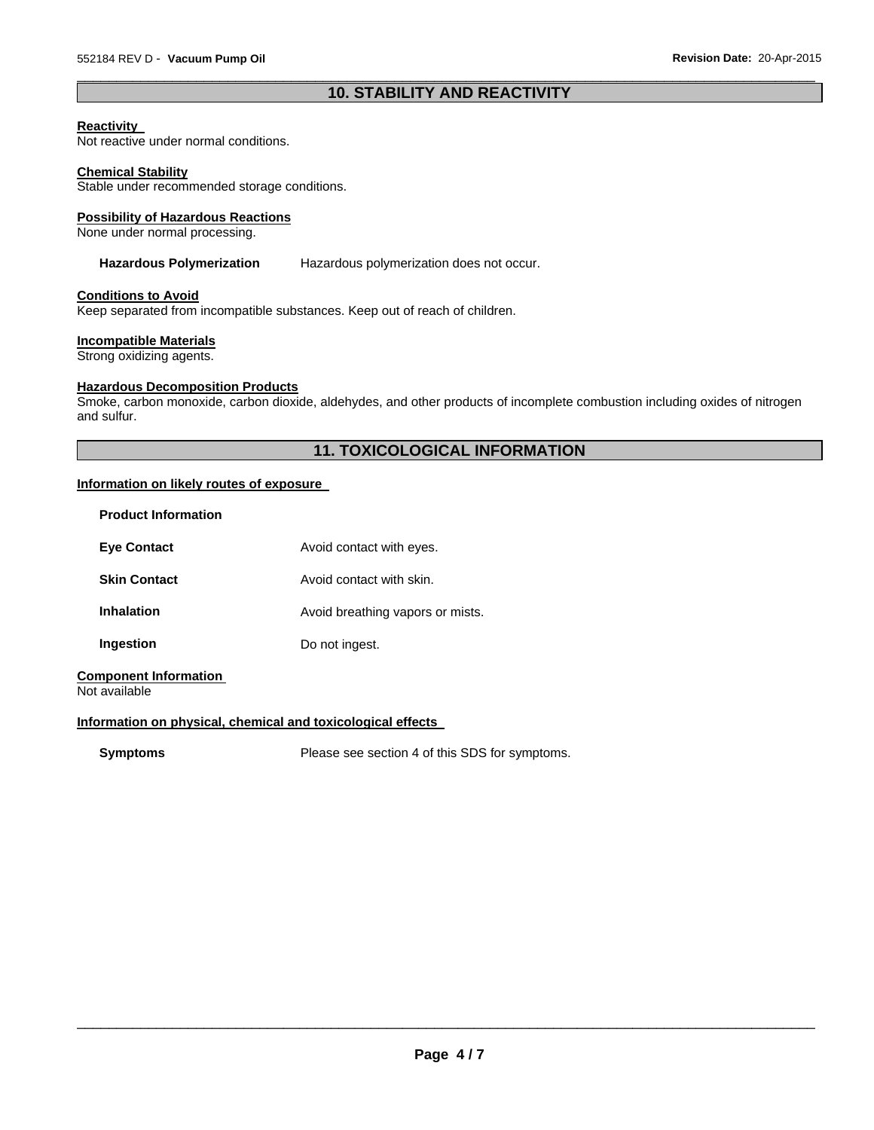# $\Box$ **10. STABILITY AND REACTIVITY**

#### **Reactivity**

Not reactive under normal conditions.

#### **Chemical Stability**

Stable under recommended storage conditions.

#### **Possibility of Hazardous Reactions**

None under normal processing.

#### **Hazardous Polymerization** Hazardous polymerization does not occur.

# **Conditions to Avoid**

Keep separated from incompatible substances. Keep out of reach of children.

#### **Incompatible Materials**

Strong oxidizing agents.

# **Hazardous Decomposition Products**

Smoke, carbon monoxide, carbon dioxide, aldehydes, and other products of incomplete combustion including oxides of nitrogen and sulfur.

# **11. TOXICOLOGICAL INFORMATION**

# **Information on likely routes of exposure**

| <b>Product Information</b>                    |                                  |
|-----------------------------------------------|----------------------------------|
| <b>Eve Contact</b>                            | Avoid contact with eyes.         |
| <b>Skin Contact</b>                           | Avoid contact with skin.         |
| <b>Inhalation</b>                             | Avoid breathing vapors or mists. |
| Ingestion                                     | Do not ingest.                   |
| <b>Component Information</b><br>Not available |                                  |

## **Information on physical, chemical and toxicological effects**

**Symptoms** Please see section 4 of this SDS for symptoms.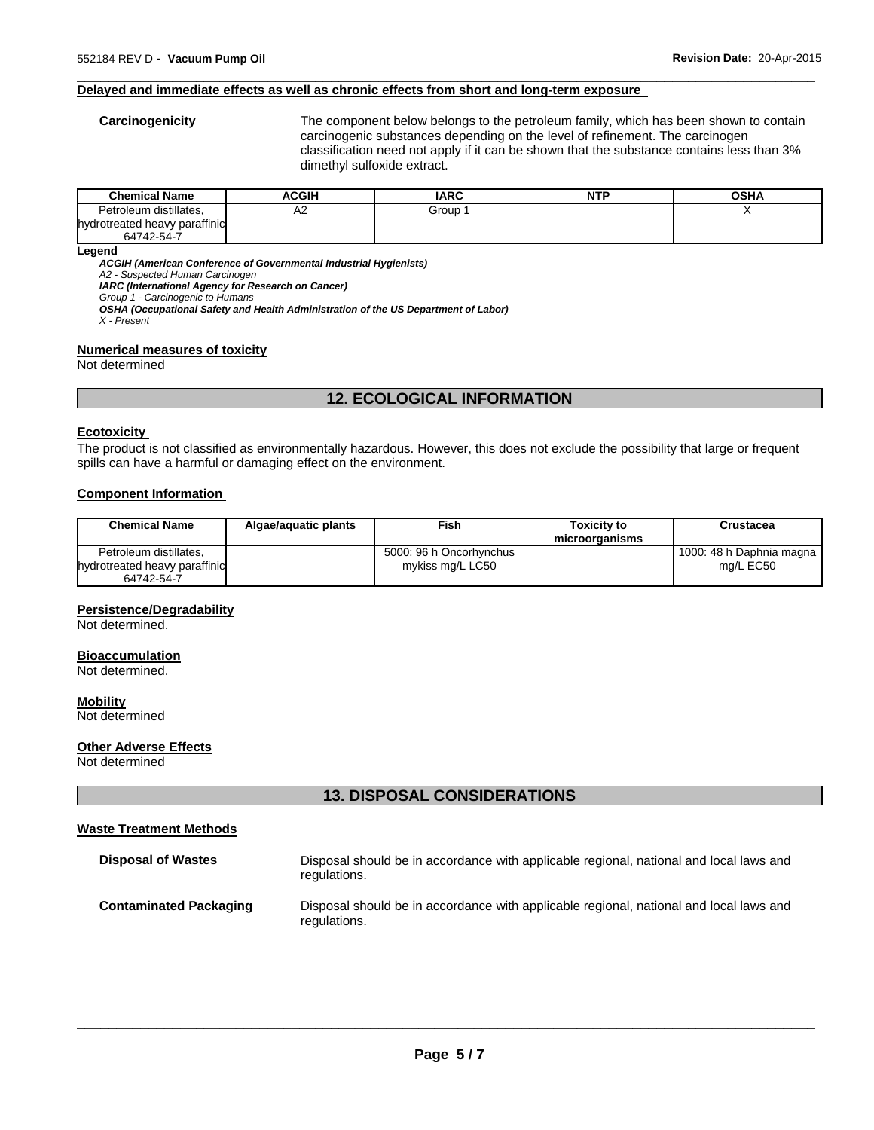#### **Delayed and immediate effects as well as chronic effects from short and long-term exposure**

**Carcinogenicity** The component below belongs to the petroleum family, which has been shown to contain carcinogenic substances depending on the level of refinement. The carcinogen classification need not apply if it can be shown that the substance contains less than 3% dimethyl sulfoxide extract.

| <b>Chemical Name</b>          | ACGIH | <b>IARC</b> | <b>NTP</b> | OSHA |
|-------------------------------|-------|-------------|------------|------|
| Petroleum distillates.        | A2    | Group       |            |      |
| hydrotreated heavy paraffinic |       |             |            |      |
| 64742-54-7                    |       |             |            |      |

 $\Box$ 

#### **Legend**

*ACGIH (American Conference of Governmental Industrial Hygienists)* 

*A2 - Suspected Human Carcinogen* 

*IARC (International Agency for Research on Cancer)* 

*Group 1 - Carcinogenic to Humans OSHA (Occupational Safety and Health Administration of the US Department of Labor)* 

*X - Present* 

#### **Numerical measures of toxicity**

Not determined

# **12. ECOLOGICAL INFORMATION**

#### **Ecotoxicity**

The product is not classified as environmentally hazardous. However, this does not exclude the possibility that large or frequent spills can have a harmful or damaging effect on the environment.

# **Component Information**

| <b>Chemical Name</b>          | Algae/aguatic plants | Fish                    | <b>Toxicity to</b><br>microorganisms | Crustacea                |
|-------------------------------|----------------------|-------------------------|--------------------------------------|--------------------------|
| Petroleum distillates,        |                      | 5000: 96 h Oncorhynchus |                                      | 1000: 48 h Daphnia magna |
| hydrotreated heavy paraffinic |                      | mykiss mg/L LC50        |                                      | mg/L EC50                |
| 64742-54-7                    |                      |                         |                                      |                          |

#### **Persistence/Degradability**

Not determined.

#### **Bioaccumulation**

Not determined.

# **Mobility**

Not determined

#### **Other Adverse Effects**

Not determined

# **13. DISPOSAL CONSIDERATIONS**

#### **Waste Treatment Methods**

| <b>Disposal of Wastes</b>     | Disposal should be in accordance with applicable regional, national and local laws and<br>regulations. |
|-------------------------------|--------------------------------------------------------------------------------------------------------|
| <b>Contaminated Packaging</b> | Disposal should be in accordance with applicable regional, national and local laws and<br>regulations. |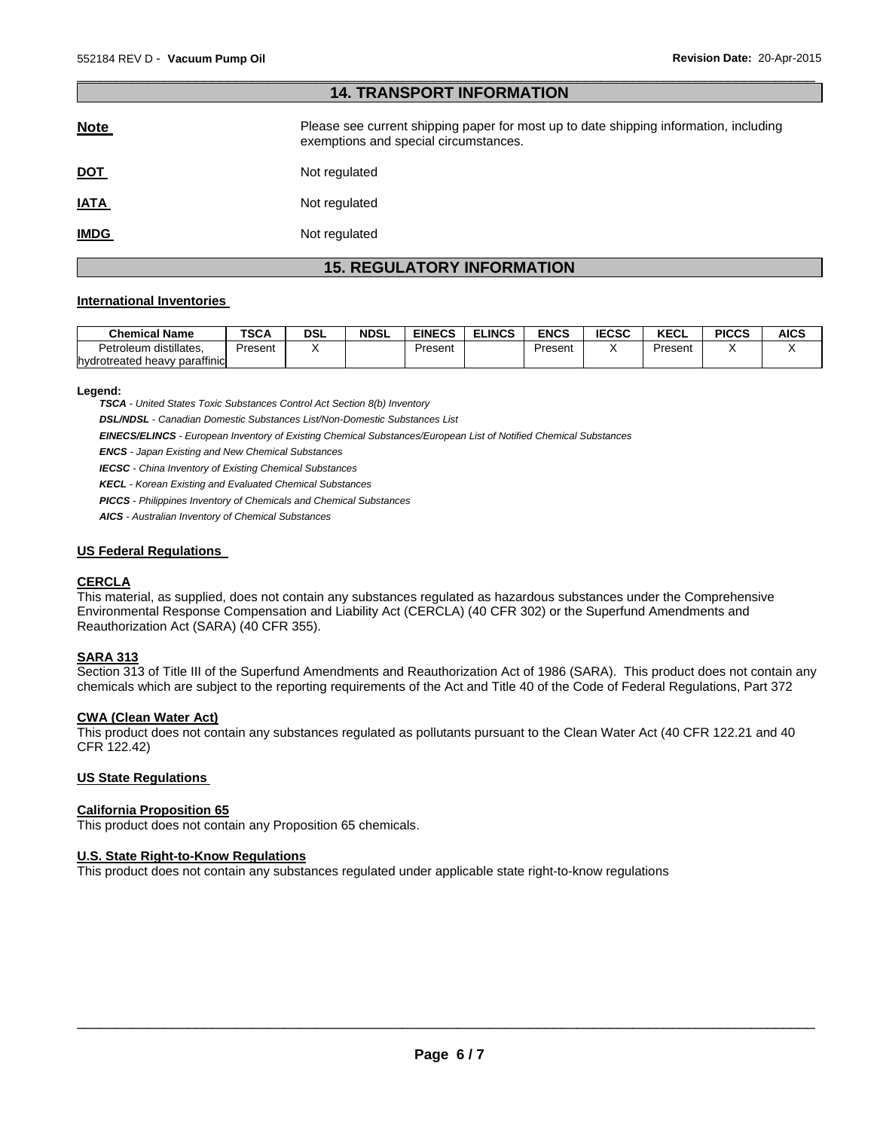# $\Box$ **14. TRANSPORT INFORMATION**

| <b>Note</b> | Please see current shipping paper for most up to date shipping information, including<br>exemptions and special circumstances. |
|-------------|--------------------------------------------------------------------------------------------------------------------------------|
| <u>DOT</u>  | Not regulated                                                                                                                  |
| <b>IATA</b> | Not regulated                                                                                                                  |
| <b>IMDG</b> | Not regulated                                                                                                                  |

# **15. REGULATORY INFORMATION**

#### **International Inventories**

| <b>Chemical Name</b>          | <b>TSCA</b> | DSL | <b>NDSL</b> | <b>EINECS</b> | <b>ELINCS</b> | ENCS    | <b>IECSC</b> | I/T<br>ncul | <b>PICCS</b> | <b>AICS</b> |
|-------------------------------|-------------|-----|-------------|---------------|---------------|---------|--------------|-------------|--------------|-------------|
| distillates.<br>Petroleum     | Present     |     |             | Present       |               | Present |              | Present     |              |             |
| hydrotreated heavy paraffinic |             |     |             |               |               |         |              |             |              |             |

#### **Legend:**

*TSCA - United States Toxic Substances Control Act Section 8(b) Inventory* 

*DSL/NDSL - Canadian Domestic Substances List/Non-Domestic Substances List* 

*EINECS/ELINCS - European Inventory of Existing Chemical Substances/European List of Notified Chemical Substances* 

*ENCS - Japan Existing and New Chemical Substances* 

*IECSC - China Inventory of Existing Chemical Substances* 

*KECL - Korean Existing and Evaluated Chemical Substances* 

*PICCS - Philippines Inventory of Chemicals and Chemical Substances* 

*AICS - Australian Inventory of Chemical Substances* 

#### **US Federal Regulations**

# **CERCLA**

This material, as supplied, does not contain any substances regulated as hazardous substances under the Comprehensive Environmental Response Compensation and Liability Act (CERCLA) (40 CFR 302) or the Superfund Amendments and Reauthorization Act (SARA) (40 CFR 355).

# **SARA 313**

Section 313 of Title III of the Superfund Amendments and Reauthorization Act of 1986 (SARA). This product does not contain any chemicals which are subject to the reporting requirements of the Act and Title 40 of the Code of Federal Regulations, Part 372

#### **CWA (Clean Water Act)**

This product does not contain any substances regulated as pollutants pursuant to the Clean Water Act (40 CFR 122.21 and 40 CFR 122.42)

# **US State Regulations**

#### **California Proposition 65**

This product does not contain any Proposition 65 chemicals.

#### **U.S. State Right-to-Know Regulations**

This product does not contain any substances regulated under applicable state right-to-know regulations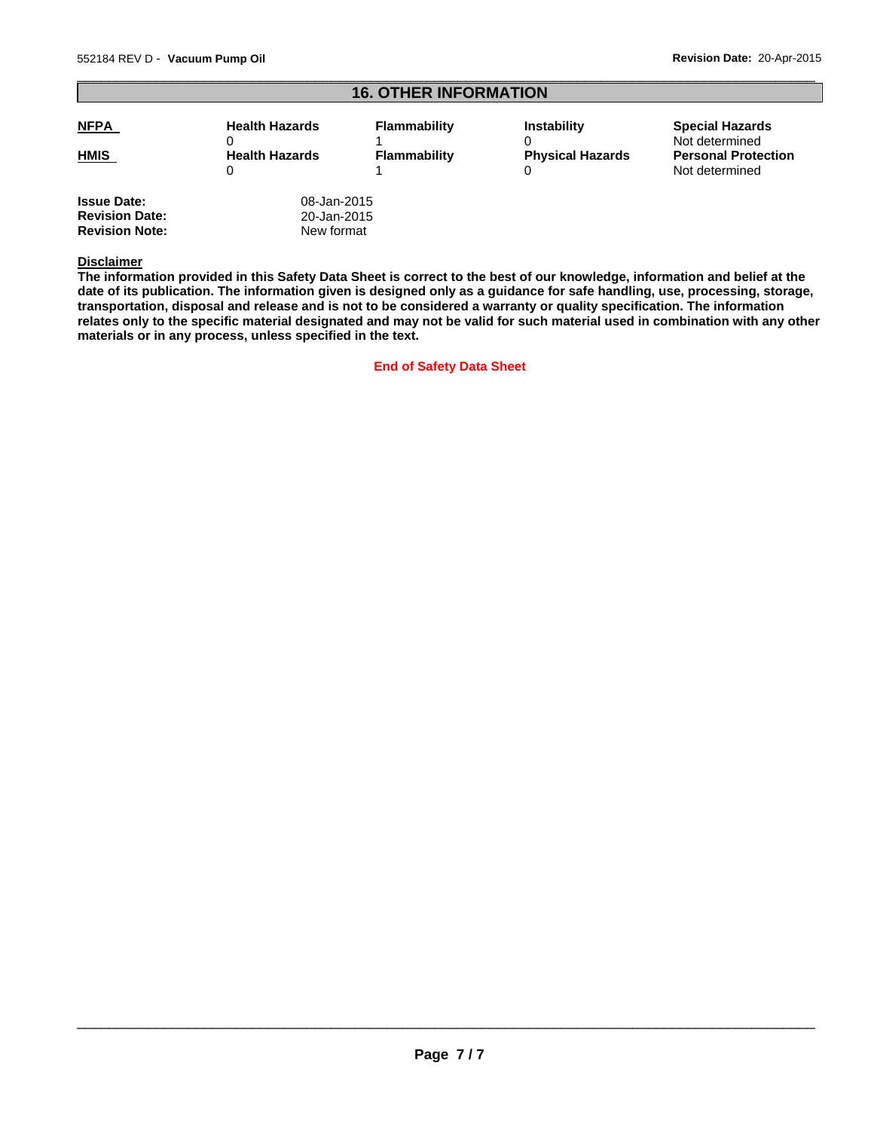#### $\Box$ **16. OTHER INFORMATION NFPA** Health Hazards  $\Omega$ **Flammability** 1 **Instability**  $\Omega$ **Special Hazards** Not determined **HMIS** Health Hazards  $\Omega$ **Flammability** 1 **Physical Hazards**  0 **Personal Protection** Not determined **Issue Date:** 08-Jan-2015<br> **Revision Date:** 20-Jan-2015 **Revision Date:** 20-Jan-2015<br> **Revision Note:** New format

#### **Disclaimer**

**Revision Note:** 

**The information provided in this Safety Data Sheet is correct to the best of our knowledge, information and belief at the date of its publication. The information given is designed only as a guidance for safe handling, use, processing, storage, transportation, disposal and release and is not to be considered a warranty or quality specification. The information relates only to the specific material designated and may not be valid for such material used in combination with any other materials or in any process, unless specified in the text.** 

**End of Safety Data Sheet**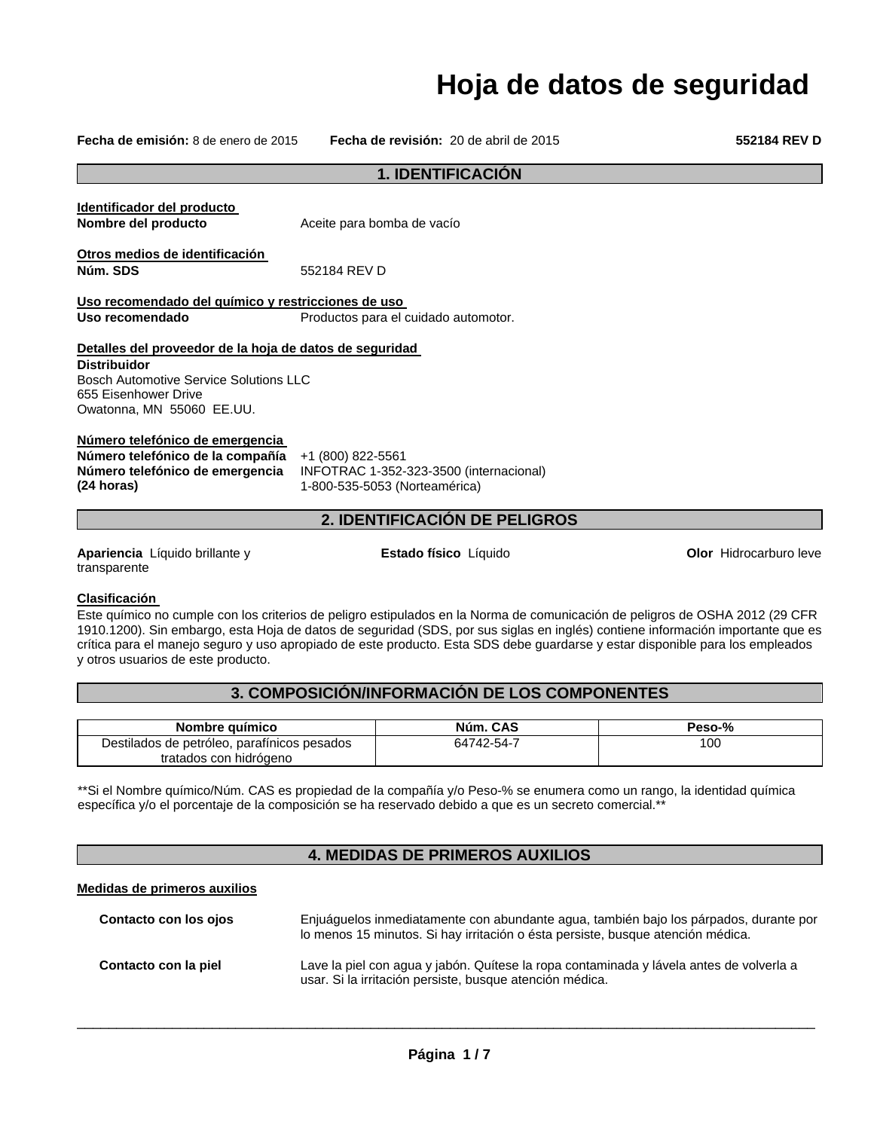# **Hoja de datos de seguridad**

**Fecha de emisión:** 8 de enero de 2015 **Fecha de revisión:** 20 de abril de 2015 **552184 REV D**

rburo leve

|                                                                                                                                                              | 1. IDENTIFICACIÓN                                                                                                    |                     |  |  |
|--------------------------------------------------------------------------------------------------------------------------------------------------------------|----------------------------------------------------------------------------------------------------------------------|---------------------|--|--|
|                                                                                                                                                              |                                                                                                                      |                     |  |  |
| Identificador del producto<br>Nombre del producto                                                                                                            | Aceite para bomba de vacío                                                                                           |                     |  |  |
| Otros medios de identificación<br>Núm. SDS                                                                                                                   | 552184 RFV D                                                                                                         |                     |  |  |
| Uso recomendado del químico y restricciones de uso                                                                                                           |                                                                                                                      |                     |  |  |
| Uso recomendado                                                                                                                                              | Productos para el cuidado automotor.                                                                                 |                     |  |  |
| Detalles del proveedor de la hoja de datos de seguridad                                                                                                      |                                                                                                                      |                     |  |  |
| <b>Distribuidor</b><br><b>Bosch Automotive Service Solutions LLC</b><br>655 Eisenhower Drive<br>Owatonna, MN 55060 EE.UU.<br>Número telefónico de emergencia |                                                                                                                      |                     |  |  |
| Número telefónico de la compañía<br>Número telefónico de emergencia<br>(24 horas)                                                                            | +1 (800) 822-5561<br>INFOTRAC 1-352-323-3500 (internacional)<br>1-800-535-5053 (Norteamérica)                        |                     |  |  |
|                                                                                                                                                              | 2. IDENTIFICACIÓN DE PELIGROS                                                                                        |                     |  |  |
| Apariencia Líquido brillante y<br>transparente                                                                                                               | Estado físico Líquido                                                                                                | <b>Olor Hidroca</b> |  |  |
| <b>Clasificación</b>                                                                                                                                         | Este químico no cumple con los criterios de peligro estipulados en la Norma de comunicación de peligros de OSHA 2012 |                     |  |  |

Este químico no cumple con los criterios de peligro estipulados en la Norma de comunicación de peligros de OSHA 2012 (29 CFR 1910.1200). Sin embargo, esta Hoja de datos de seguridad (SDS, por sus siglas en inglés) contiene información importante que es crítica para el manejo seguro y uso apropiado de este producto. Esta SDS debe guardarse y estar disponible para los empleados y otros usuarios de este producto.

# **3. COMPOSICIÓN/INFORMACIÓN DE LOS COMPONENTES**

| Nombre quimico                              | Núm. CAS   | Peso-% |
|---------------------------------------------|------------|--------|
| Destilados de petróleo, parafínicos pesados | 64742-54-7 | 00ا    |
| tratados con hidrógeno                      |            |        |

\*\*Si el Nombre químico/Núm. CAS es propiedad de la compañía y/o Peso-% se enumera como un rango, la identidad química específica y/o el porcentaje de la composición se ha reservado debido a que es un secreto comercial.\*\*

# **4. MEDIDAS DE PRIMEROS AUXILIOS**

# **Medidas de primeros auxilios**

| Contacto con los ojos | Enjuáquelos inmediatamente con abundante agua, también bajo los párpados, durante por<br>lo menos 15 minutos. Si hay irritación o ésta persiste, busque atención médica. |
|-----------------------|--------------------------------------------------------------------------------------------------------------------------------------------------------------------------|
| Contacto con la piel  | Lave la piel con agua y jabón. Quítese la ropa contaminada y lávela antes de volverla a<br>usar. Si la irritación persiste, busque atención médica.                      |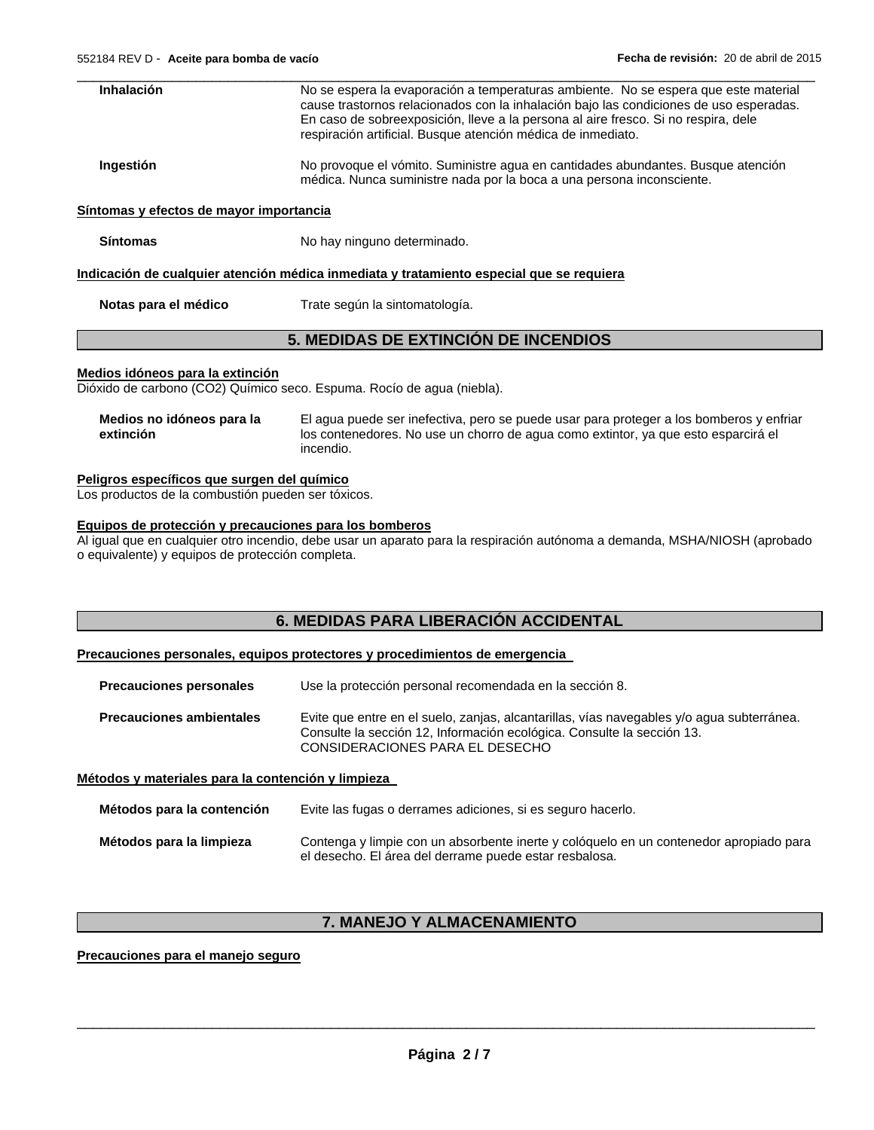| Inhalación                                  | No se espera la evaporación a temperaturas ambiente. No se espera que este material<br>cause trastornos relacionados con la inhalación bajo las condiciones de uso esperadas.<br>En caso de sobreexposición, lleve a la persona al aire fresco. Si no respira, dele<br>respiración artificial. Busque atención médica de inmediato. |
|---------------------------------------------|-------------------------------------------------------------------------------------------------------------------------------------------------------------------------------------------------------------------------------------------------------------------------------------------------------------------------------------|
| Ingestión                                   | No provoque el vómito. Suministre agua en cantidades abundantes. Busque atención<br>médica. Nunca suministre nada por la boca a una persona inconsciente.                                                                                                                                                                           |
| Síntomas y efectos de mayor importancia     |                                                                                                                                                                                                                                                                                                                                     |
| <b>Síntomas</b>                             | No hay ninguno determinado.                                                                                                                                                                                                                                                                                                         |
|                                             | <u>Indicación de cualquier atención médica inmediata y tratamiento especial que se requiera</u>                                                                                                                                                                                                                                     |
| Notas para el médico                        | Trate según la sintomatología.                                                                                                                                                                                                                                                                                                      |
|                                             | 5. MEDIDAS DE EXTINCIÓN DE INCENDIOS                                                                                                                                                                                                                                                                                                |
| Medios idóneos para la extinción            | Dióxido de carbono (CO2) Químico seco. Espuma. Rocío de agua (niebla).                                                                                                                                                                                                                                                              |
| Medios no idóneos para la<br>extinción      | El agua puede ser inefectiva, pero se puede usar para proteger a los bomberos y enfriar<br>los contenedores. No use un chorro de agua como extintor, ya que esto esparcirá el<br>incendio.                                                                                                                                          |
| Peligros específicos que surgen del químico |                                                                                                                                                                                                                                                                                                                                     |

Los productos de la combustión pueden ser tóxicos.

# **Equipos de protección y precauciones para los bomberos**

Al igual que en cualquier otro incendio, debe usar un aparato para la respiración autónoma a demanda, MSHA/NIOSH (aprobado o equivalente) y equipos de protección completa.

# **6. MEDIDAS PARA LIBERACIÓN ACCIDENTAL**

**Precauciones personales, equipos protectores y procedimientos de emergencia** 

| <b>Precauciones personales</b>  | Use la protección personal recomendada en la sección 8.                                                                                                                                                |
|---------------------------------|--------------------------------------------------------------------------------------------------------------------------------------------------------------------------------------------------------|
| <b>Precauciones ambientales</b> | Evite que entre en el suelo, zanjas, alcantarillas, vías navegables y/o aqua subterránea.<br>Consulte la sección 12, Información ecológica. Consulte la sección 13.<br>CONSIDERACIONES PARA EL DESECHO |

# **Métodos y materiales para la contención y limpieza**

| Métodos para la contención | Evite las fugas o derrames adiciones, si es seguro hacerlo.                                                                                      |
|----------------------------|--------------------------------------------------------------------------------------------------------------------------------------------------|
| Métodos para la limpieza   | Contenga y limpie con un absorbente inerte y cológuelo en un contenedor apropiado para<br>el desecho. El área del derrame puede estar resbalosa. |

# **7. MANEJO Y ALMACENAMIENTO**

# **Precauciones para el manejo seguro**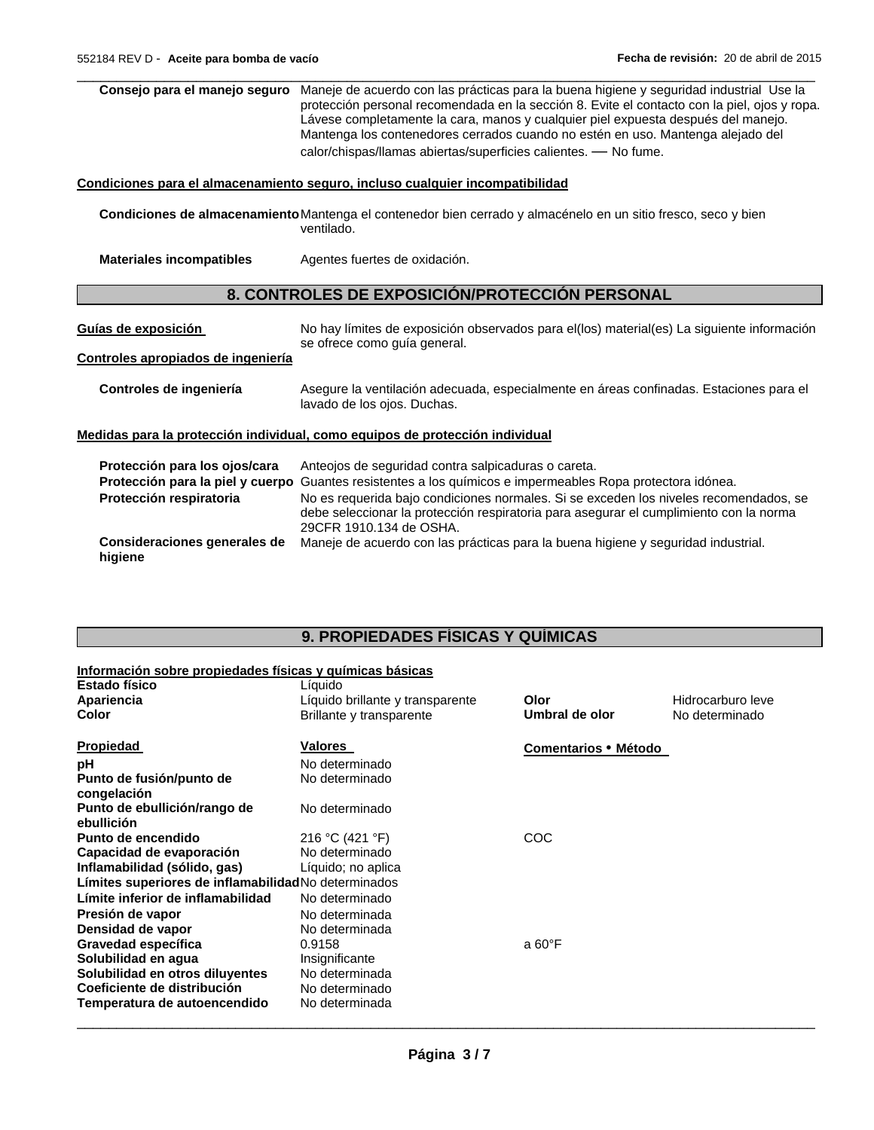$\Box$ **Consejo para el manejo seguro** Maneje de acuerdo con las prácticas para la buena higiene y seguridad industrial Use la protección personal recomendada en la sección 8. Evite el contacto con la piel, ojos y ropa. Lávese completamente la cara, manos y cualquier piel expuesta después del manejo. Mantenga los contenedores cerrados cuando no estén en uso. Mantenga alejado del calor/chispas/llamas abiertas/superficies calientes. — No fume.

#### **Condiciones para el almacenamiento seguro, incluso cualquier incompatibilidad**

**Condiciones de almacenamiento** Mantenga el contenedor bien cerrado y almacénelo en un sitio fresco, seco y bien ventilado.

**Materiales incompatibles** Agentes fuertes de oxidación.

# **8. CONTROLES DE EXPOSICIÓN/PROTECCIÓN PERSONAL**

**Guías de exposición** No hay límites de exposición observados para el(los) material(es) La siguiente información se ofrece como guía general.

# **Controles apropiados de ingeniería**

#### **Controles de ingeniería** Asegure la ventilación adecuada, especialmente en áreas confinadas. Estaciones para el lavado de los ojos. Duchas.

#### **Medidas para la protección individual, como equipos de protección individual**

| Protección para los ojos/cara           | Anteojos de seguridad contra salpicaduras o careta.                                                                                                                                                        |
|-----------------------------------------|------------------------------------------------------------------------------------------------------------------------------------------------------------------------------------------------------------|
|                                         | Protección para la piel y cuerpo Guantes resistentes a los químicos e impermeables Ropa protectora idónea.                                                                                                 |
| Protección respiratoria                 | No es requerida bajo condiciones normales. Si se exceden los niveles recomendados, se<br>debe seleccionar la protección respiratoria para asegurar el cumplimiento con la norma<br>29CFR 1910.134 de OSHA. |
| Consideraciones generales de<br>higiene | Maneje de acuerdo con las prácticas para la buena higiene y seguridad industrial.                                                                                                                          |

# **9. PROPIEDADES FÍSICAS Y QUÍMICAS**

#### **Información sobre propiedades físicas y químicas básicas**

| <b>Estado físico</b><br>Apariencia<br>Color         | Líquido<br>Líquido brillante y transparente<br>Brillante y transparente | Olor<br>Umbral de olor | Hidrocarburo leve<br>No determinado |
|-----------------------------------------------------|-------------------------------------------------------------------------|------------------------|-------------------------------------|
| Propiedad                                           | Valores                                                                 | Comentarios • Método   |                                     |
| рH                                                  | No determinado                                                          |                        |                                     |
| Punto de fusión/punto de<br>congelación             | No determinado                                                          |                        |                                     |
| Punto de ebullición/rango de<br>ebullición          | No determinado                                                          |                        |                                     |
| Punto de encendido                                  | 216 °C (421 °F)                                                         | COC                    |                                     |
| Capacidad de evaporación                            | No determinado                                                          |                        |                                     |
| Inflamabilidad (sólido, gas)                        | Líquido; no aplica                                                      |                        |                                     |
| Límites superiores de inflamabilidadNo determinados |                                                                         |                        |                                     |
| Límite inferior de inflamabilidad                   | No determinado                                                          |                        |                                     |
| Presión de vapor                                    | No determinada                                                          |                        |                                     |
| Densidad de vapor                                   | No determinada                                                          |                        |                                     |
| Gravedad específica                                 | 0.9158                                                                  | a 60°F                 |                                     |
| Solubilidad en agua                                 | Insignificante                                                          |                        |                                     |
| Solubilidad en otros diluyentes                     | No determinada                                                          |                        |                                     |
| Coeficiente de distribución                         | No determinado                                                          |                        |                                     |
| Temperatura de autoencendido                        | No determinada                                                          |                        |                                     |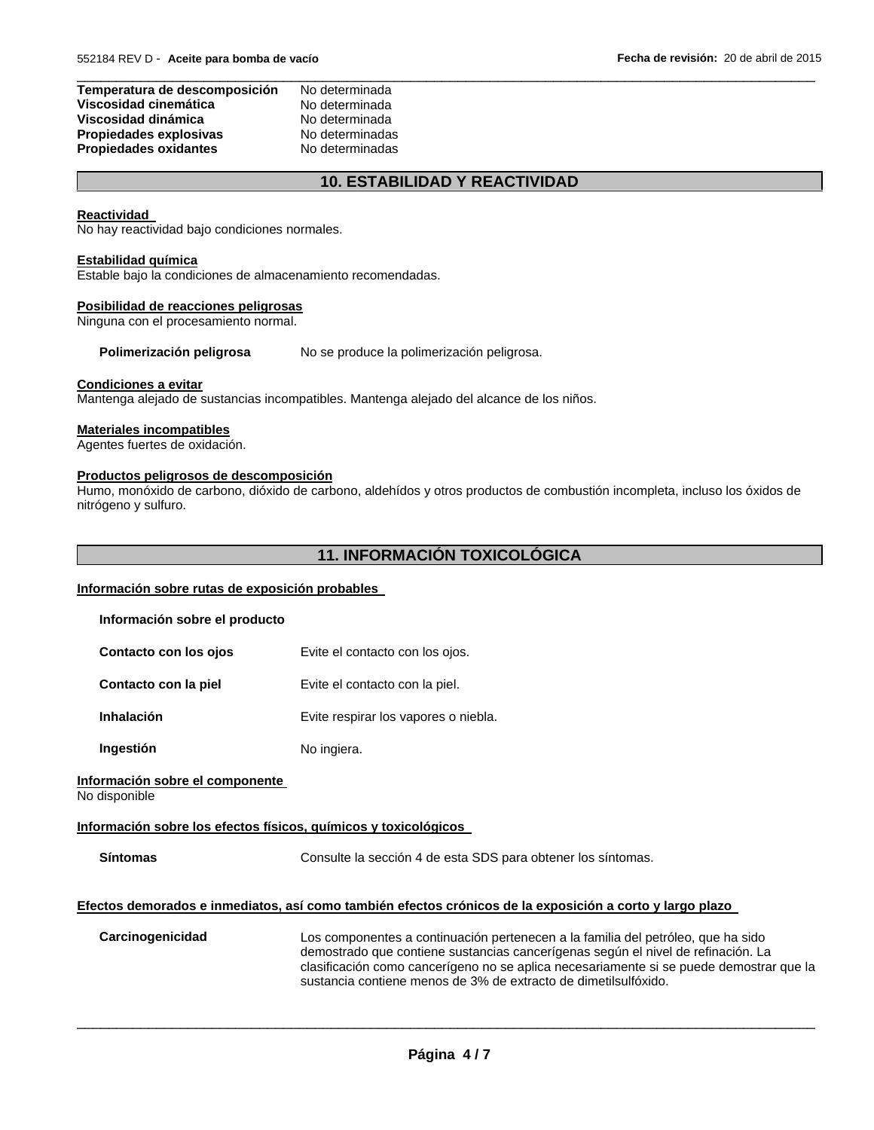| Temperatura de descomposición | No determinada  |
|-------------------------------|-----------------|
| Viscosidad cinemática         | No determinada  |
| Viscosidad dinámica           | No determinada  |
| Propiedades explosivas        | No determinadas |
| <b>Propiedades oxidantes</b>  | No determinadas |

# **10. ESTABILIDAD Y REACTIVIDAD**

 $\Box$ 

#### **Reactividad**

No hay reactividad bajo condiciones normales.

## **Estabilidad química**

Estable bajo la condiciones de almacenamiento recomendadas.

# **Posibilidad de reacciones peligrosas**

Ninguna con el procesamiento normal.

Polimerización peligrosa No se produce la polimerización peligrosa.

# **Condiciones a evitar**

Mantenga alejado de sustancias incompatibles. Mantenga alejado del alcance de los niños.

# **Materiales incompatibles**

Agentes fuertes de oxidación.

# **Productos peligrosos de descomposición**

Humo, monóxido de carbono, dióxido de carbono, aldehídos y otros productos de combustión incompleta, incluso los óxidos de nitrógeno y sulfuro.

# **11. INFORMACIÓN TOXICOLÓGICA**

# **Información sobre rutas de exposición probables**

| Información sobre el producto                                   |                                                                                                                                                                                                                                                                                                                                    |
|-----------------------------------------------------------------|------------------------------------------------------------------------------------------------------------------------------------------------------------------------------------------------------------------------------------------------------------------------------------------------------------------------------------|
| Contacto con los ojos                                           | Evite el contacto con los ojos.                                                                                                                                                                                                                                                                                                    |
| Contacto con la piel                                            | Evite el contacto con la piel.                                                                                                                                                                                                                                                                                                     |
| <b>Inhalación</b>                                               | Evite respirar los vapores o niebla.                                                                                                                                                                                                                                                                                               |
| Ingestión                                                       | No ingiera.                                                                                                                                                                                                                                                                                                                        |
| Información sobre el componente<br>No disponible                |                                                                                                                                                                                                                                                                                                                                    |
| Información sobre los efectos físicos, químicos y toxicológicos |                                                                                                                                                                                                                                                                                                                                    |
| <b>Síntomas</b>                                                 | Consulte la sección 4 de esta SDS para obtener los síntomas.                                                                                                                                                                                                                                                                       |
|                                                                 | Efectos demorados e inmediatos, así como también efectos crónicos de la exposición a corto y largo plazo                                                                                                                                                                                                                           |
| Carcinogenicidad                                                | Los componentes a continuación pertenecen a la familia del petróleo, que ha sido<br>demostrado que contiene sustancias cancerígenas según el nivel de refinación. La<br>clasificación como cancerígeno no se aplica necesariamente si se puede demostrar que la<br>sustancia contiene menos de 3% de extracto de dimetilsulfóxido. |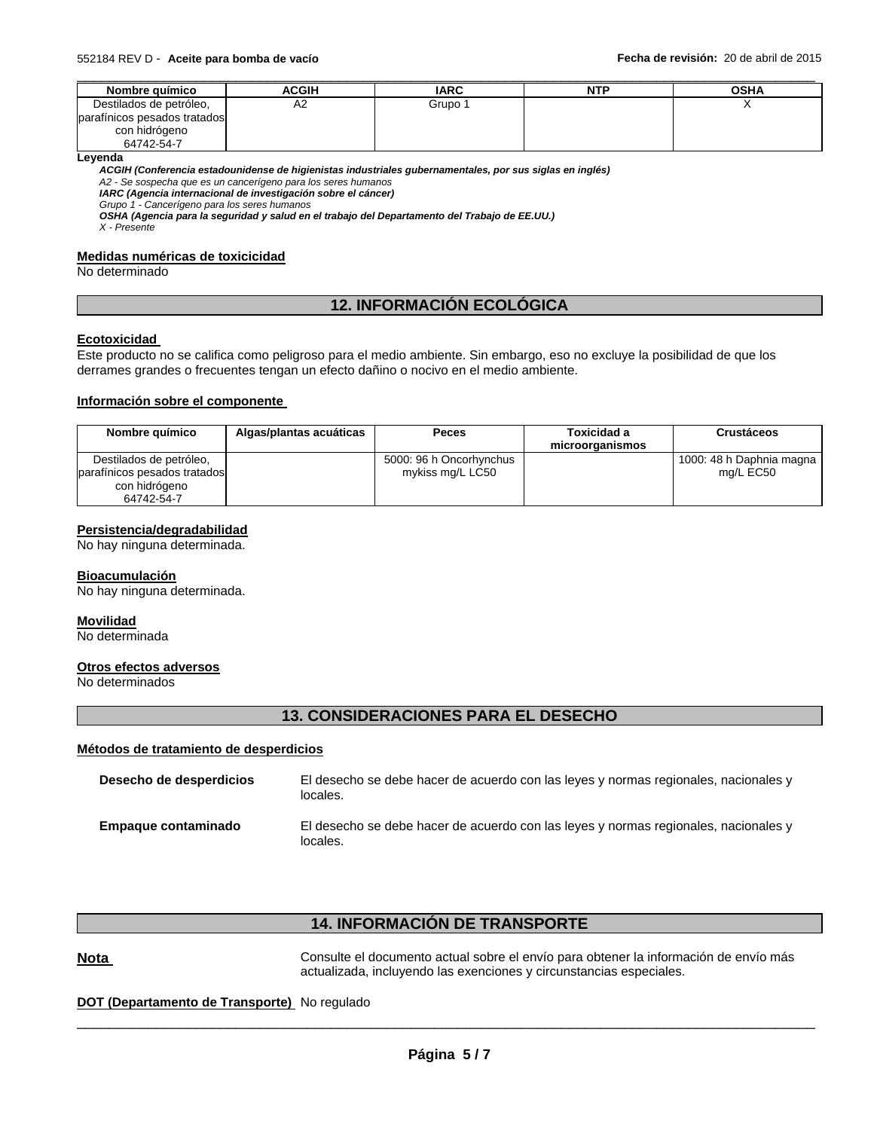| Nombre químico               | <b>ACGIH</b> | <b>IARC</b> | NTP | <b>OSHA</b> |
|------------------------------|--------------|-------------|-----|-------------|
| Destilados de petróleo,      | A2           | Grupo 1     |     |             |
| parafínicos pesados tratados |              |             |     |             |
| con hidrógeno                |              |             |     |             |
| 64742-54-7                   |              |             |     |             |

#### **Leyenda**

*ACGIH (Conferencia estadounidense de higienistas industriales gubernamentales, por sus siglas en inglés) A2 - Se sospecha que es un cancerígeno para los seres humanos* 

*IARC (Agencia internacional de investigación sobre el cáncer)* 

*Grupo 1 - Cancerígeno para los seres humanos* 

*OSHA (Agencia para la seguridad y salud en el trabajo del Departamento del Trabajo de EE.UU.) X - Presente* 

#### **Medidas numéricas de toxicicidad**

No determinado

# **12. INFORMACIÓN ECOLÓGICA**

#### **Ecotoxicidad**

Este producto no se califica como peligroso para el medio ambiente. Sin embargo, eso no excluye la posibilidad de que los derrames grandes o frecuentes tengan un efecto dañino o nocivo en el medio ambiente.

#### **Información sobre el componente**

| Nombre químico               | Algas/plantas acuáticas | <b>Peces</b>            | Toxicidad a<br>microorganismos | Crustáceos               |
|------------------------------|-------------------------|-------------------------|--------------------------------|--------------------------|
| Destilados de petróleo,      |                         | 5000: 96 h Oncorhynchus |                                | 1000: 48 h Daphnia magna |
| parafínicos pesados tratados |                         | mykiss mg/L LC50        |                                | mg/L EC50                |
| con hidrógeno                |                         |                         |                                |                          |
| 64742-54-7                   |                         |                         |                                |                          |

#### **Persistencia/degradabilidad**

No hay ninguna determinada.

#### **Bioacumulación**

No hay ninguna determinada.

#### **Movilidad**

No determinada

#### **Otros efectos adversos**

No determinados

# **13. CONSIDERACIONES PARA EL DESECHO**

#### **Métodos de tratamiento de desperdicios**

| Desecho de desperdicios | El desecho se debe hacer de acuerdo con las leves y normas regionales, nacionales y<br>locales. |
|-------------------------|-------------------------------------------------------------------------------------------------|
| Empague contaminado     | El desecho se debe hacer de acuerdo con las leyes y normas regionales, nacionales y<br>locales. |

# **14. INFORMACIÓN DE TRANSPORTE**

Nota **Nota Consulte el documento actual sobre el envío para obtener la información de envío más** actualizada, incluyendo las exenciones y circunstancias especiales.

#### **DOT (Departamento de Transporte)** No regulado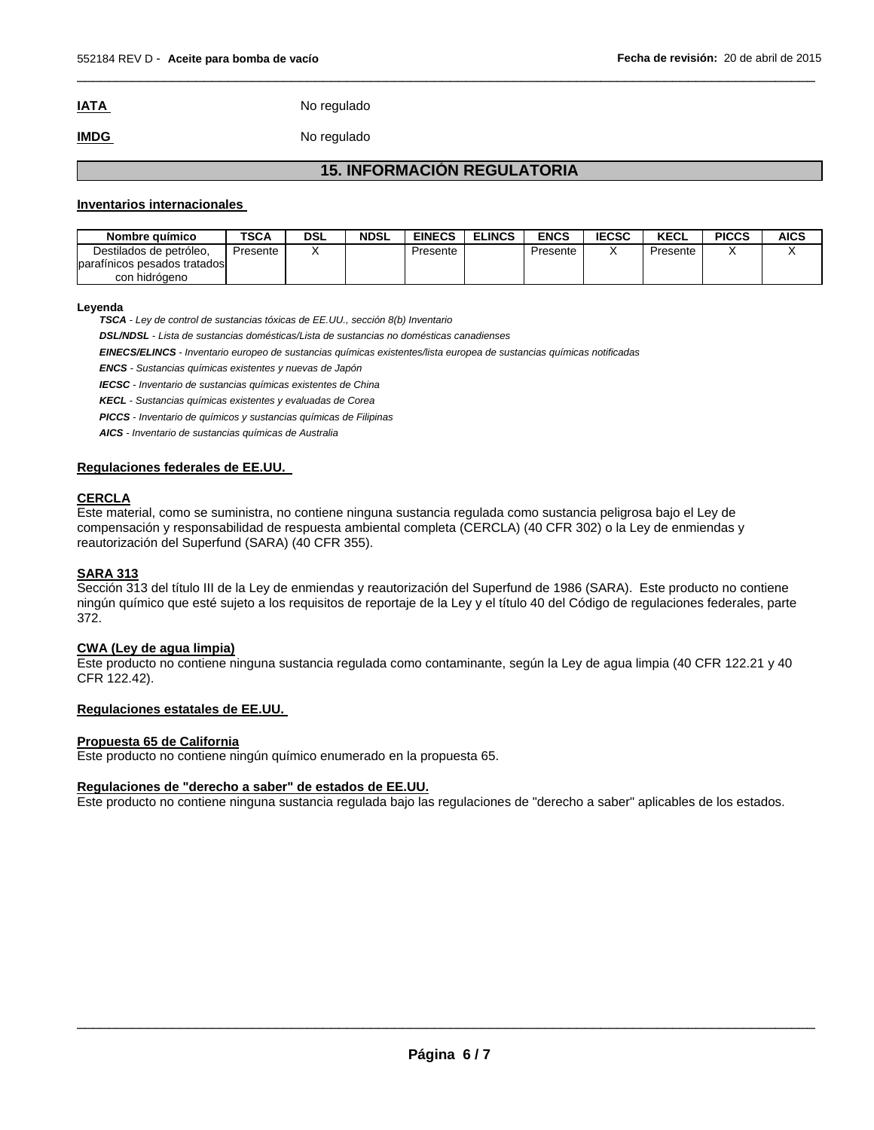# **IATA** No regulado

# **IMDG** No regulado

# **15. INFORMACIÓN REGULATORIA**

 $\Box$ 

#### **Inventarios internacionales**

| Nombre químico                                          | <b>TSCA</b> | DSL | NDSL | <b>EINECS</b> | <b>ELINCS</b> | <b>ENCS</b> | <b>IECSC</b> | <b>KECL</b> | <b>PICCS</b> | AICS |
|---------------------------------------------------------|-------------|-----|------|---------------|---------------|-------------|--------------|-------------|--------------|------|
| Destilados de petróleo.<br>parafínicos pesados tratados | Presente    |     |      | Presente      |               | Presente    |              | Presente    |              |      |
| con hidrógeno                                           |             |     |      |               |               |             |              |             |              |      |

#### **Leyenda**

*TSCA - Ley de control de sustancias tóxicas de EE.UU., sección 8(b) Inventario* 

*DSL/NDSL - Lista de sustancias domésticas/Lista de sustancias no domésticas canadienses* 

*EINECS/ELINCS - Inventario europeo de sustancias químicas existentes/lista europea de sustancias químicas notificadas* 

*ENCS - Sustancias químicas existentes y nuevas de Japón* 

*IECSC - Inventario de sustancias químicas existentes de China* 

*KECL - Sustancias químicas existentes y evaluadas de Corea* 

*PICCS - Inventario de químicos y sustancias químicas de Filipinas* 

*AICS - Inventario de sustancias químicas de Australia* 

#### **Regulaciones federales de EE.UU.**

# **CERCLA**

Este material, como se suministra, no contiene ninguna sustancia regulada como sustancia peligrosa bajo el Ley de compensación y responsabilidad de respuesta ambiental completa (CERCLA) (40 CFR 302) o la Ley de enmiendas y reautorización del Superfund (SARA) (40 CFR 355).

# **SARA 313**

Sección 313 del título III de la Ley de enmiendas y reautorización del Superfund de 1986 (SARA). Este producto no contiene ningún químico que esté sujeto a los requisitos de reportaje de la Ley y el título 40 del Código de regulaciones federales, parte 372.

#### **CWA (Ley de agua limpia)**

Este producto no contiene ninguna sustancia regulada como contaminante, según la Ley de agua limpia (40 CFR 122.21 y 40 CFR 122.42).

#### **Regulaciones estatales de EE.UU.**

#### **Propuesta 65 de California**

Este producto no contiene ningún químico enumerado en la propuesta 65.

#### **Regulaciones de "derecho a saber" de estados de EE.UU.**

Este producto no contiene ninguna sustancia regulada bajo las regulaciones de "derecho a saber" aplicables de los estados.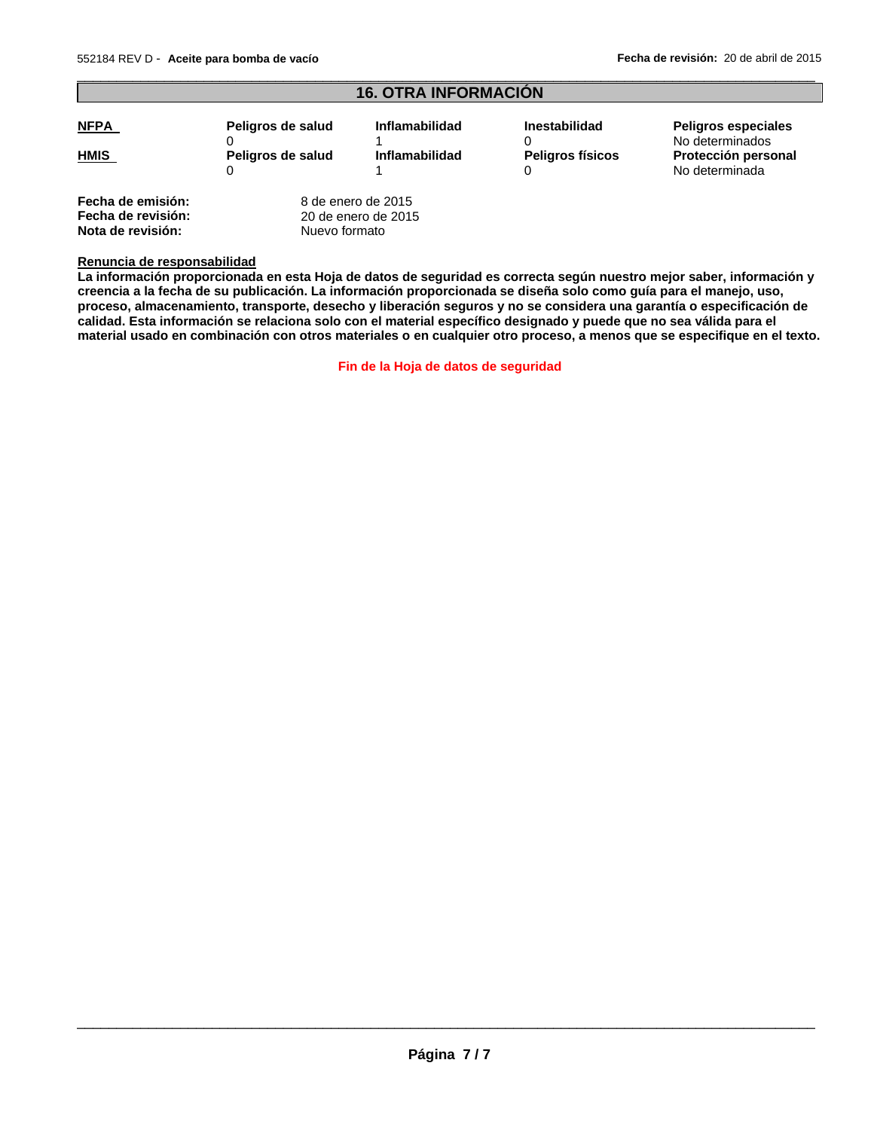**Nota de revisión:** Nuevo formato

| <b>16. OTRA INFORMACIÓN</b>             |                   |                                           |                         |                                               |
|-----------------------------------------|-------------------|-------------------------------------------|-------------------------|-----------------------------------------------|
| <b>NFPA</b>                             | Peligros de salud | Inflamabilidad                            | <b>Inestabilidad</b>    | <b>Peligros especiales</b><br>No determinados |
| <b>HMIS</b>                             | Peligros de salud | <b>Inflamabilidad</b>                     | <b>Peligros físicos</b> | Protección personal<br>No determinada         |
| Fecha de emisión:<br>Fecha de revisión: |                   | 8 de enero de 2015<br>20 de enero de 2015 |                         |                                               |

 $\Box$ 

#### **Renuncia de responsabilidad**

**La información proporcionada en esta Hoja de datos de seguridad es correcta según nuestro mejor saber, información y creencia a la fecha de su publicación. La información proporcionada se diseña solo como guía para el manejo, uso, proceso, almacenamiento, transporte, desecho y liberación seguros y no se considera una garantía o especificación de calidad. Esta información se relaciona solo con el material específico designado y puede que no sea válida para el material usado en combinación con otros materiales o en cualquier otro proceso, a menos que se especifique en el texto.** 

**Fin de la Hoja de datos de seguridad**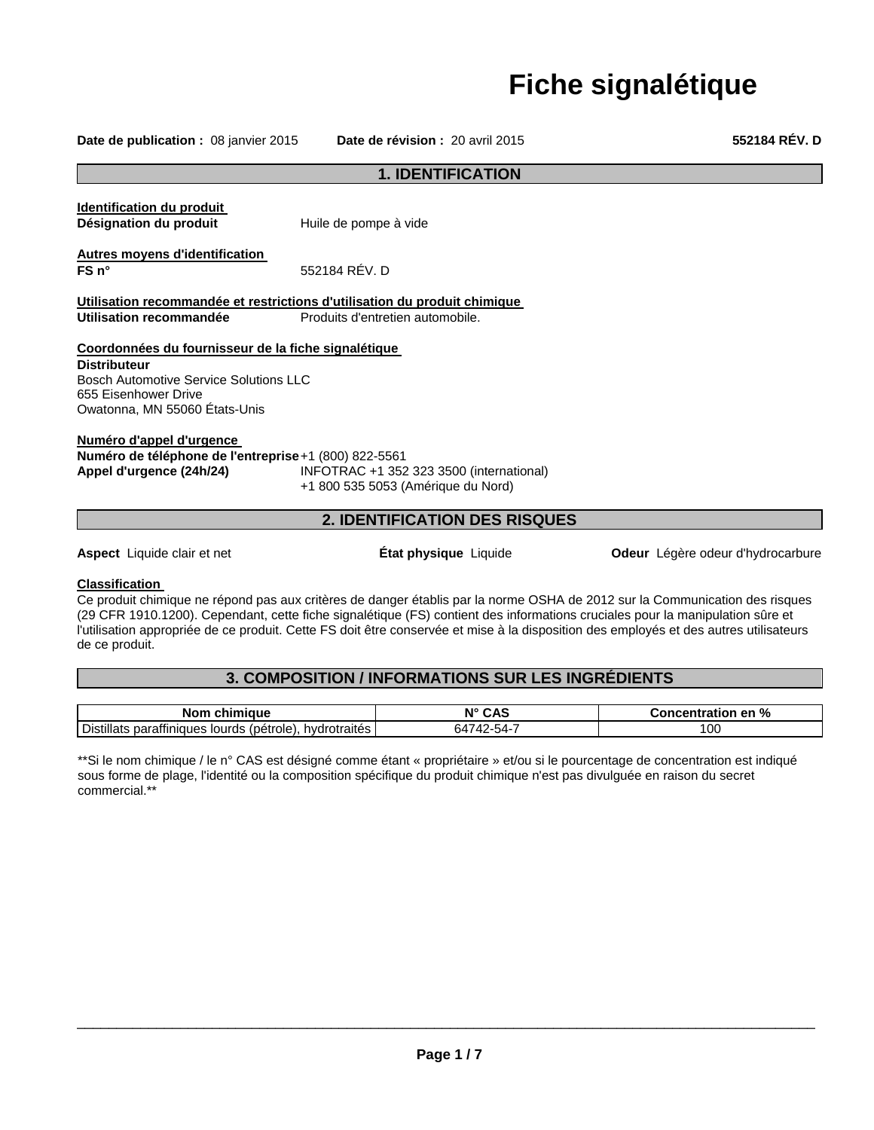# **Fiche signalétique**

**Date de publication :** 08 janvier 2015 **Date de révision :** 20 avril 2015 **552184 RÉV. D**

# **1. IDENTIFICATION Identification du produit Désignation du produit** Huile de pompe à vide **Autres moyens d'identification FS n°** 552184 RÉV. D **Utilisation recommandée et restrictions d'utilisation du produit chimique Utilisation recommandée** Produits d'entretien automobile. **Coordonnées du fournisseur de la fiche signalétique Distributeur** Bosch Automotive Service Solutions LLC 655 Eisenhower Drive Owatonna, MN 55060 États-Unis **Numéro d'appel d'urgence Numéro de téléphone de l'entreprise** +1 (800) 822-5561 **Appel d'urgence (24h/24)** INFOTRAC +1 352 323 3500 (international) +1 800 535 5053 (Amérique du Nord) **2. IDENTIFICATION DES RISQUES**

**Aspect** Liquide clair et net **État physique** Liquide **Odeur** Légère odeur d'hydrocarbure

# **Classification**

Ce produit chimique ne répond pas aux critères de danger établis par la norme OSHA de 2012 sur la Communication des risques (29 CFR 1910.1200). Cependant, cette fiche signalétique (FS) contient des informations cruciales pour la manipulation sûre et l'utilisation appropriée de ce produit. Cette FS doit être conservée et mise à la disposition des employés et des autres utilisateurs de ce produit.

# **3. COMPOSITION / INFORMATIONS SUR LES INGRÉDIENTS**

| Nom chimique                                                           | N° CAS          | %<br>Concentration en " |
|------------------------------------------------------------------------|-----------------|-------------------------|
| <b>Distillats</b><br>s paraffiniques lourds (pétrole),<br>hydrotraités | 742-54-1<br>64. | 00١                     |

\*\*Si le nom chimique / le n° CAS est désigné comme étant « propriétaire » et/ou si le pourcentage de concentration est indiqué sous forme de plage, l'identité ou la composition spécifique du produit chimique n'est pas divulguée en raison du secret commercial.\*\*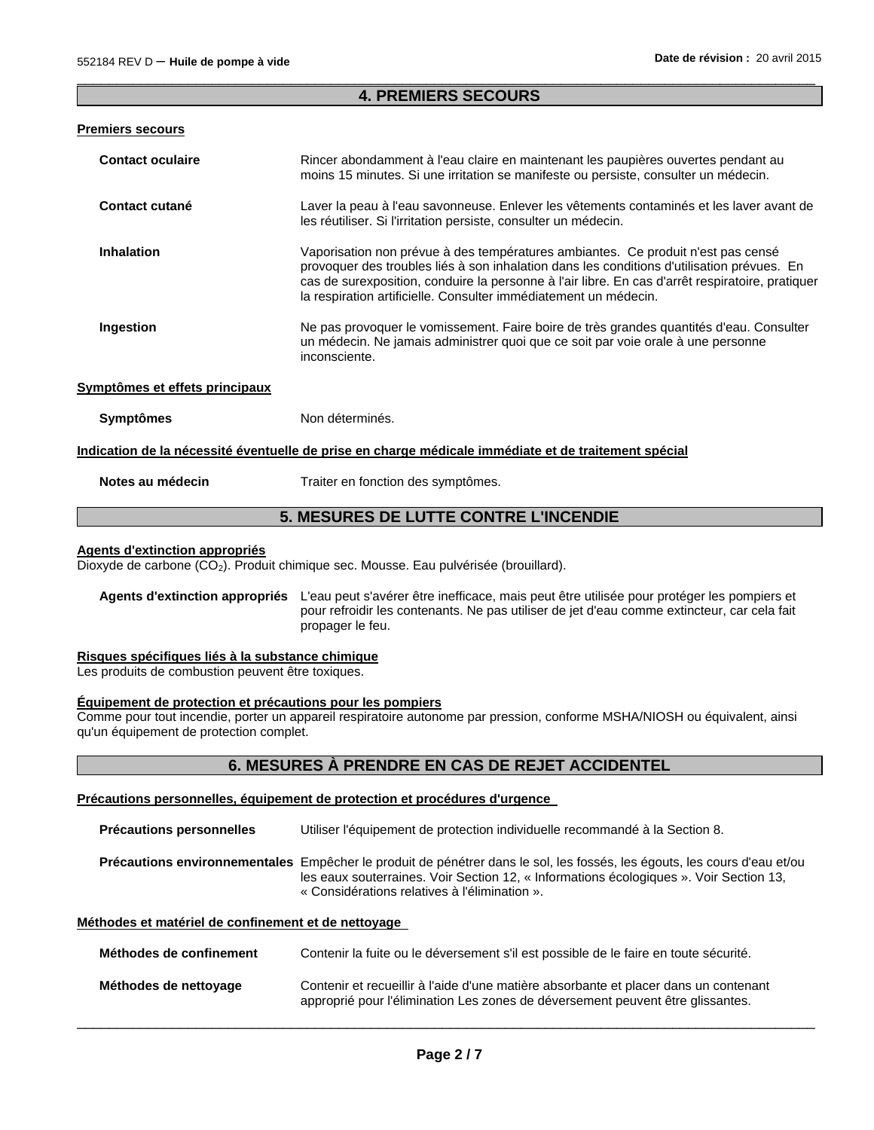# $\Box$ **4. PREMIERS SECOURS**

### **Premiers secours**

| <b>Contact oculaire</b>        | Rincer abondamment à l'eau claire en maintenant les paupières ouvertes pendant au<br>moins 15 minutes. Si une irritation se manifeste ou persiste, consulter un médecin.                                                                                                                                                                                                                                                                                                                                                              |
|--------------------------------|---------------------------------------------------------------------------------------------------------------------------------------------------------------------------------------------------------------------------------------------------------------------------------------------------------------------------------------------------------------------------------------------------------------------------------------------------------------------------------------------------------------------------------------|
| <b>Contact cutané</b>          | Laver la peau à l'eau savonneuse. Enlever les vêtements contaminés et les laver avant de<br>les réutiliser. Si l'irritation persiste, consulter un médecin.                                                                                                                                                                                                                                                                                                                                                                           |
| <b>Inhalation</b><br>Ingestion | Vaporisation non prévue à des températures ambiantes. Ce produit n'est pas censé<br>provoquer des troubles liés à son inhalation dans les conditions d'utilisation prévues. En<br>cas de surexposition, conduire la personne à l'air libre. En cas d'arrêt respiratoire, pratiquer<br>la respiration artificielle. Consulter immédiatement un médecin.<br>Ne pas provoquer le vomissement. Faire boire de très grandes quantités d'eau. Consulter<br>un médecin. Ne jamais administrer quoi que ce soit par voie orale à une personne |
|                                | inconsciente.                                                                                                                                                                                                                                                                                                                                                                                                                                                                                                                         |
| Symptômes et effets principaux |                                                                                                                                                                                                                                                                                                                                                                                                                                                                                                                                       |
| <b>Symptômes</b>               | Non déterminés.                                                                                                                                                                                                                                                                                                                                                                                                                                                                                                                       |
|                                | <u>Indication de la nécessité éventuelle de prise en charge médicale immédiate et de traitement spécial</u>                                                                                                                                                                                                                                                                                                                                                                                                                           |
| Notes au médecin               | Traiter en fonction des symptômes.                                                                                                                                                                                                                                                                                                                                                                                                                                                                                                    |

# **5. MESURES DE LUTTE CONTRE L'INCENDIE**

# **Agents d'extinction appropriés**

Dioxyde de carbone (CO<sub>2</sub>). Produit chimique sec. Mousse. Eau pulvérisée (brouillard).

**Agents d'extinction appropriés** L'eau peut s'avérer être inefficace, mais peut être utilisée pour protéger les pompiers et pour refroidir les contenants. Ne pas utiliser de jet d'eau comme extincteur, car cela fait propager le feu.

#### **Risques spécifiques liés à la substance chimique**

Les produits de combustion peuvent être toxiques.

#### **Équipement de protection et précautions pour les pompiers**

Comme pour tout incendie, porter un appareil respiratoire autonome par pression, conforme MSHA/NIOSH ou équivalent, ainsi qu'un équipement de protection complet.

#### **6. MESURES À PRENDRE EN CAS DE REJET ACCIDENTEL**

**Précautions personnelles, équipement de protection et procédures d'urgence** 

**Précautions personnelles** Utiliser l'équipement de protection individuelle recommandé à la Section 8. **Précautions environnementales** Empêcher le produit de pénétrer dans le sol, les fossés, les égouts, les cours d'eau et/ou les eaux souterraines. Voir Section 12, « Informations écologiques ». Voir Section 13, « Considérations relatives à l'élimination ».

# **Méthodes et matériel de confinement et de nettoyage**

| Méthodes de confinement | Contenir la fuite ou le déversement s'il est possible de le faire en toute sécurité.                                                                                   |
|-------------------------|------------------------------------------------------------------------------------------------------------------------------------------------------------------------|
| Méthodes de nettoyage   | Contenir et recueillir à l'aide d'une matière absorbante et placer dans un contenant<br>approprié pour l'élimination Les zones de déversement peuvent être glissantes. |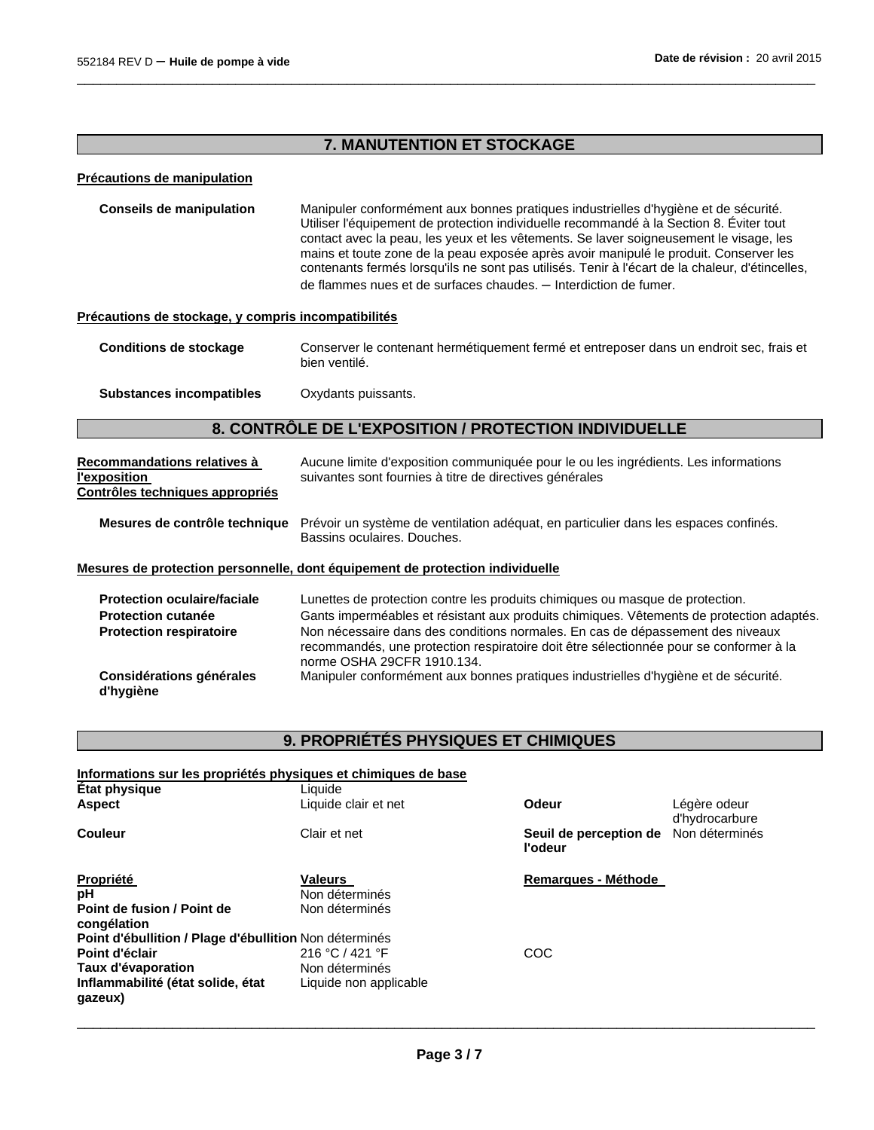# **7. MANUTENTION ET STOCKAGE**

 $\Box$ 

# **Précautions de manipulation**

| <b>Conseils de manipulation</b> | Manipuler conformément aux bonnes pratiques industrielles d'hygiène et de sécurité.<br>Utiliser l'équipement de protection individuelle recommandé à la Section 8. Eviter tout<br>contact avec la peau, les yeux et les vêtements. Se laver soigneusement le visage, les<br>mains et toute zone de la peau exposée après avoir manipulé le produit. Conserver les<br>contenants fermés lorsqu'ils ne sont pas utilisés. Tenir à l'écart de la chaleur, d'étincelles, |
|---------------------------------|----------------------------------------------------------------------------------------------------------------------------------------------------------------------------------------------------------------------------------------------------------------------------------------------------------------------------------------------------------------------------------------------------------------------------------------------------------------------|
|                                 | de flammes nues et de surfaces chaudes. - Interdiction de fumer.                                                                                                                                                                                                                                                                                                                                                                                                     |

# **Précautions de stockage, y compris incompatibilités**

| Conditions de stockage | Conserver le contenant hermétiquement fermé et entreposer dans un endroit sec. frais et |
|------------------------|-----------------------------------------------------------------------------------------|
|                        | bien ventilé.                                                                           |

**Substances incompatibles** Oxydants puissants.

# **8. CONTRÔLE DE L'EXPOSITION / PROTECTION INDIVIDUELLE**

| Recommandations relatives à<br>l'exposition<br>Contrôles techniques appropriés                    | Aucune limite d'exposition communiquée pour le ou les ingrédients. Les informations<br>suivantes sont fournies à titre de directives générales                                                                                                                                                                                                                                      |
|---------------------------------------------------------------------------------------------------|-------------------------------------------------------------------------------------------------------------------------------------------------------------------------------------------------------------------------------------------------------------------------------------------------------------------------------------------------------------------------------------|
| Mesures de contrôle technique                                                                     | Prévoir un système de ventilation adéquat, en particulier dans les espaces confinés.<br>Bassins oculaires. Douches.                                                                                                                                                                                                                                                                 |
|                                                                                                   | Mesures de protection personnelle, dont équipement de protection individuelle                                                                                                                                                                                                                                                                                                       |
| <b>Protection oculaire/faciale</b><br><b>Protection cutanée</b><br><b>Protection respiratoire</b> | Lunettes de protection contre les produits chimiques ou masque de protection.<br>Gants imperméables et résistant aux produits chimiques. Vêtements de protection adaptés.<br>Non nécessaire dans des conditions normales. En cas de dépassement des niveaux<br>recommandés, une protection respiratoire doit être sélectionnée pour se conformer à la<br>norme OSHA 29CFR 1910.134. |
| Considérations générales<br>d'hygiène                                                             | Manipuler conformément aux bonnes pratiques industrielles d'hygiène et de sécurité.                                                                                                                                                                                                                                                                                                 |

# **9. PROPRIÉTÉS PHYSIQUES ET CHIMIQUES**

| Informations sur les propriétés physiques et chimiques de base |                        |                                   |                                |
|----------------------------------------------------------------|------------------------|-----------------------------------|--------------------------------|
| État physique                                                  | Liauide                |                                   |                                |
| <b>Aspect</b>                                                  | Liquide clair et net   | Odeur                             | Légère odeur<br>d'hydrocarbure |
| Couleur                                                        | Clair et net           | Seuil de perception de<br>l'odeur | Non déterminés                 |
| <b>Propriété</b>                                               | <b>Valeurs</b>         | Remarques - Méthode               |                                |
| рH                                                             | Non déterminés         |                                   |                                |
| Point de fusion / Point de<br>congélation                      | Non déterminés         |                                   |                                |
| Point d'ébullition / Plage d'ébullition Non déterminés         |                        |                                   |                                |
| Point d'éclair                                                 | 216 °C / 421 °F        | COC                               |                                |
| Taux d'évaporation                                             | Non déterminés         |                                   |                                |
| Inflammabilité (état solide, état<br>qazeux)                   | Liquide non applicable |                                   |                                |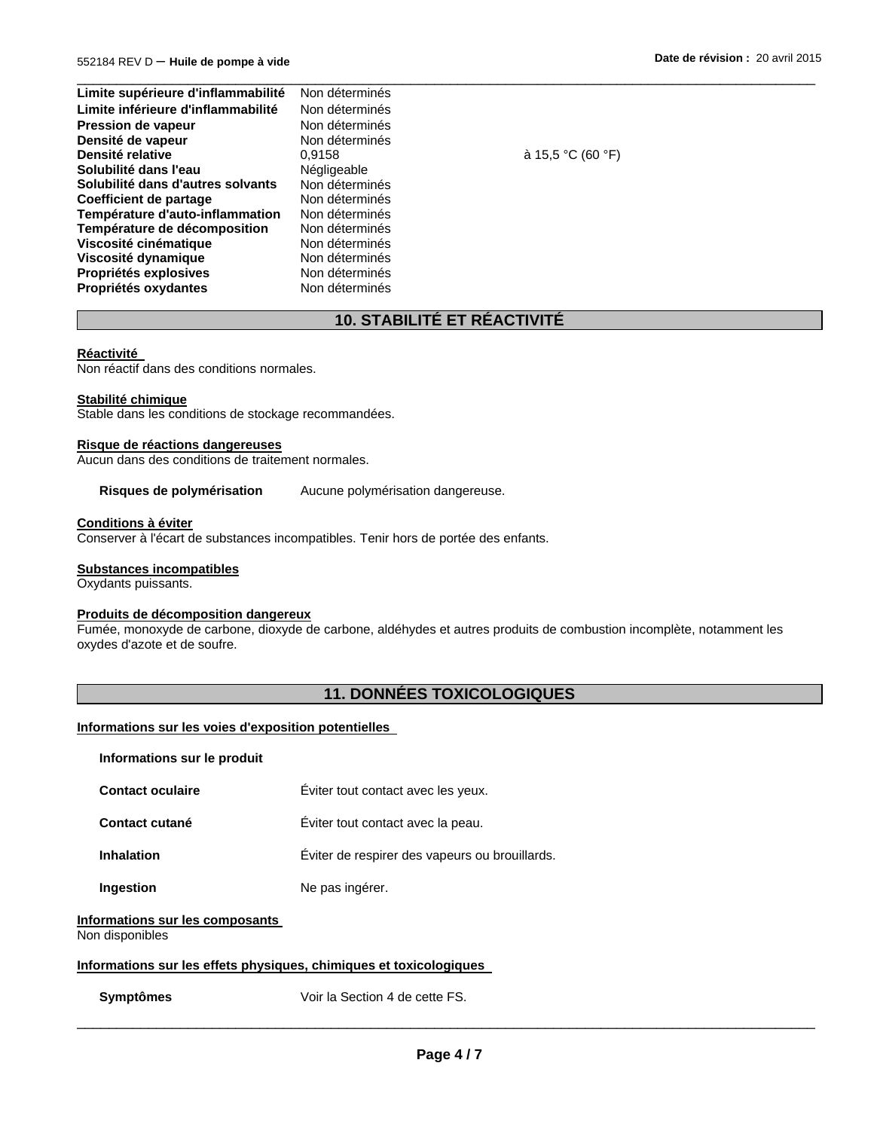| Non déterminés |
|----------------|
| Non déterminés |
| Non déterminés |
| Non déterminés |
| 0.9158         |
| Négligeable    |
| Non déterminés |
| Non déterminés |
| Non déterminés |
| Non déterminés |
| Non déterminés |
| Non déterminés |
| Non déterminés |
| Non déterminés |
|                |

**Densité relative** 0,9158 à 15,5 °C (60 °F)

# **10. STABILITÉ ET RÉACTIVITÉ**

 $\Box$ 

#### **Réactivité**

Non réactif dans des conditions normales.

# **Stabilité chimique**

Stable dans les conditions de stockage recommandées.

#### **Risque de réactions dangereuses**

Aucun dans des conditions de traitement normales.

**Risques de polymérisation** Aucune polymérisation dangereuse.

#### **Conditions à éviter**

Conserver à l'écart de substances incompatibles. Tenir hors de portée des enfants.

#### **Substances incompatibles**

Oxydants puissants.

#### **Produits de décomposition dangereux**

Fumée, monoxyde de carbone, dioxyde de carbone, aldéhydes et autres produits de combustion incomplète, notamment les oxydes d'azote et de soufre.

# **11. DONNÉES TOXICOLOGIQUES**

#### **Informations sur les voies d'exposition potentielles**

#### **Informations sur le produit**

| <b>Contact oculaire</b> | Eviter tout contact avec les yeux. |
|-------------------------|------------------------------------|
|                         |                                    |

**Contact cutané** Éviter tout contact avec la peau.

**Inhalation** Éviter de respirer des vapeurs ou brouillards.

**Ingestion Ne pas ingérer.** 

# **Informations sur les composants**

Non disponibles

# **Informations sur les effets physiques, chimiques et toxicologiques**

**Symptômes** Voir la Section 4 de cette FS.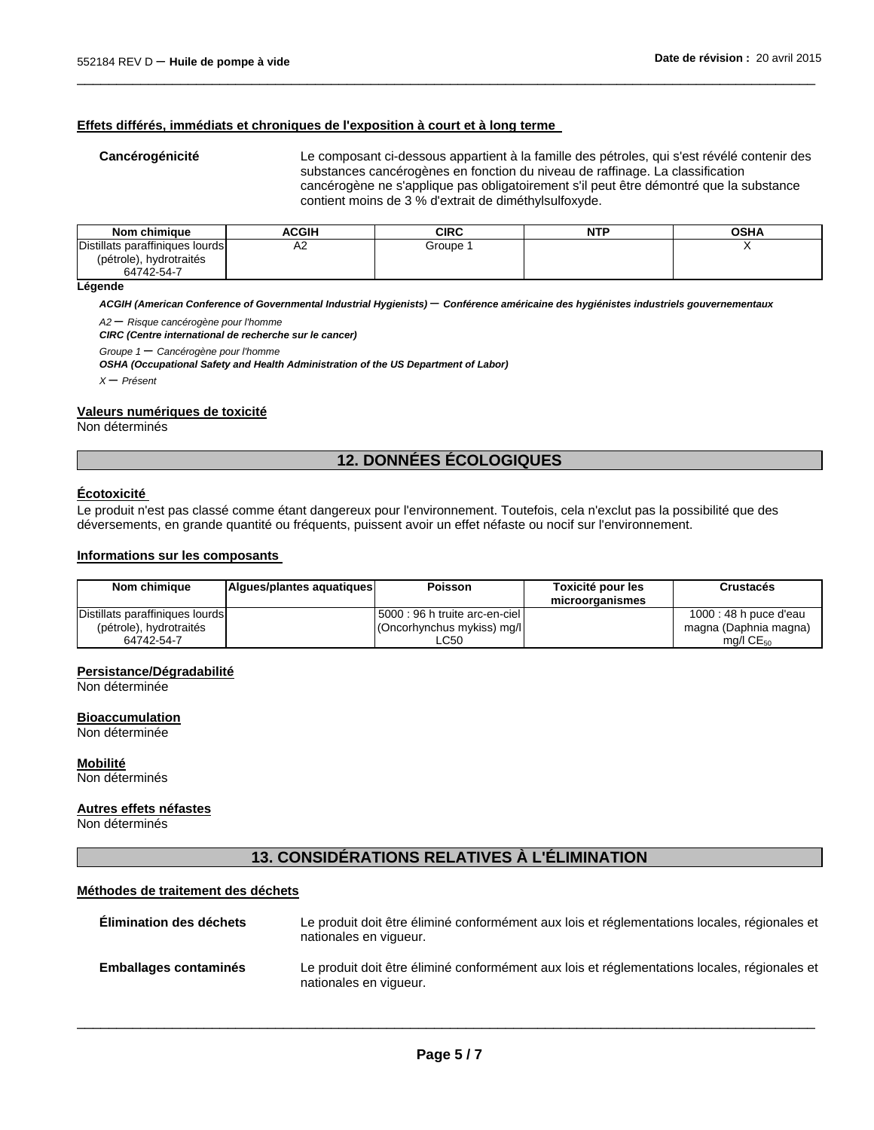# **Effets différés, immédiats et chroniques de l'exposition à court et à long terme**

**Cancérogénicité** Le composant ci-dessous appartient à la famille des pétroles, qui s'est révélé contenir des substances cancérogènes en fonction du niveau de raffinage. La classification cancérogène ne s'applique pas obligatoirement s'il peut être démontré que la substance contient moins de 3 % d'extrait de diméthylsulfoxyde.

| Nom chimique                    | ACGIH | CIRC   | <b>NTP</b> | <b>OSHA</b> |
|---------------------------------|-------|--------|------------|-------------|
| Distillats paraffiniques lourds | A2    | Groupe |            |             |
| (pétrole), hydrotraités         |       |        |            |             |
| 64742-54-7                      |       |        |            |             |

 $\Box$ 

#### **Légende**

*ACGIH (American Conference of Governmental Industrial Hygienists)* – *Conférence américaine des hygiénistes industriels gouvernementaux* 

*A2* – *Risque cancérogène pour l'homme* 

*CIRC (Centre international de recherche sur le cancer)* 

*Groupe 1* – *Cancérogène pour l'homme* 

*OSHA (Occupational Safety and Health Administration of the US Department of Labor)* 

*<sup>X</sup>* – *Présent* 

#### **Valeurs numériques de toxicité**

Non déterminés

# **12. DONNÉES ÉCOLOGIQUES**

## **Écotoxicité**

Le produit n'est pas classé comme étant dangereux pour l'environnement. Toutefois, cela n'exclut pas la possibilité que des déversements, en grande quantité ou fréquents, puissent avoir un effet néfaste ou nocif sur l'environnement.

#### **Informations sur les composants**

| Nom chimique                    | Algues/plantes aguatiques | Poisson                        | Toxicité pour les<br>microorganismes | Crustacés               |
|---------------------------------|---------------------------|--------------------------------|--------------------------------------|-------------------------|
| Distillats paraffiniques lourds |                           | 5000 : 96 h truite arc-en-ciel |                                      | 1000 : 48 h puce d'eau  |
| (pétrole), hydrotraités         |                           | (Oncorhynchus mykiss) mg/l     |                                      | magna (Daphnia magna)   |
| 64742-54-7                      |                           | LC50                           |                                      | $mq/l$ CE <sub>50</sub> |

#### **Persistance/Dégradabilité**

Non déterminée

#### **Bioaccumulation**

Non déterminée

#### **Mobilité**

Non déterminés

#### **Autres effets néfastes**

Non déterminés

# **13. CONSIDÉRATIONS RELATIVES À L'ÉLIMINATION**

#### **Méthodes de traitement des déchets**

| Elimination des déchets      | Le produit doit être éliminé conformément aux lois et réglementations locales, régionales et<br>nationales en vigueur. |
|------------------------------|------------------------------------------------------------------------------------------------------------------------|
| <b>Emballages contaminés</b> | Le produit doit être éliminé conformément aux lois et réglementations locales, régionales et<br>nationales en vigueur. |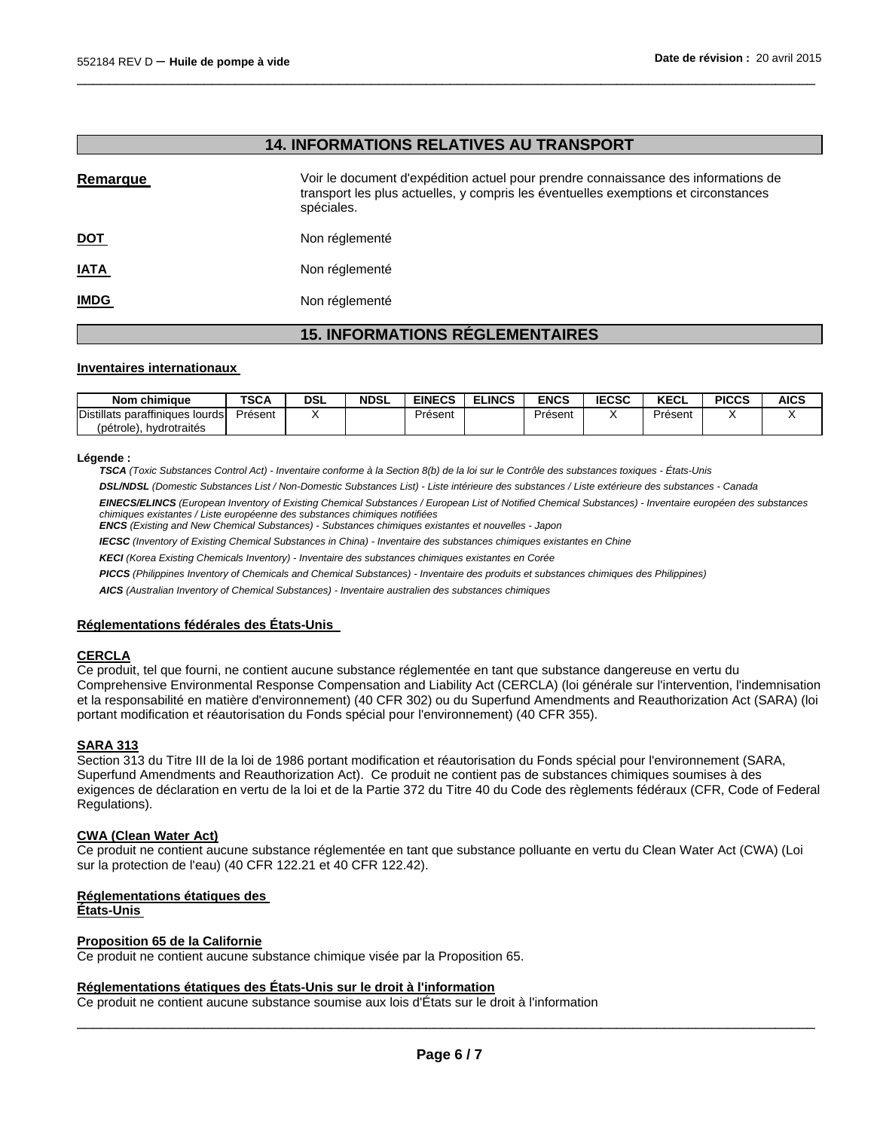# **14. INFORMATIONS RELATIVES AU TRANSPORT**

 $\Box$ 

| Remarque    | Voir le document d'expédition actuel pour prendre connaissance des informations de<br>transport les plus actuelles, y compris les éventuelles exemptions et circonstances<br>spéciales. |
|-------------|-----------------------------------------------------------------------------------------------------------------------------------------------------------------------------------------|
| <u>DOT</u>  | Non réglementé                                                                                                                                                                          |
| <u>IATA</u> | Non réglementé                                                                                                                                                                          |
| <b>IMDG</b> | Non réglementé                                                                                                                                                                          |
|             | <b>15. INFORMATIONS RÉGLEMENTAIRES</b>                                                                                                                                                  |

# **Inventaires internationaux**

| Nom<br>ı chimiaue               | <b>TSCA</b> | DSL | <b>NDSL</b> | <b>EINECS</b> | <b>ELINCS</b> | ENCS    | <b>IECSC</b> | <b>KECL</b> | <b>PICCS</b> | <b>AICS</b> |
|---------------------------------|-------------|-----|-------------|---------------|---------------|---------|--------------|-------------|--------------|-------------|
| Distillats paraffiniques lourds | Présent     |     |             | Présent       |               | Présent |              | Présent     |              |             |
| hydrotraités<br>(pétrole)       |             |     |             |               |               |         |              |             |              |             |

#### **Légende :**

*TSCA (Toxic Substances Control Act) - Inventaire conforme à la Section 8(b) de la loi sur le Contrôle des substances toxiques - États-Unis* 

*DSL/NDSL (Domestic Substances List / Non-Domestic Substances List) - Liste intérieure des substances / Liste extérieure des substances - Canada* 

*EINECS/ELINCS (European Inventory of Existing Chemical Substances / European List of Notified Chemical Substances) - Inventaire européen des substances chimiques existantes / Liste européenne des substances chimiques notifiées* 

*ENCS (Existing and New Chemical Substances) - Substances chimiques existantes et nouvelles - Japon* 

*IECSC (Inventory of Existing Chemical Substances in China) - Inventaire des substances chimiques existantes en Chine* 

*KECI (Korea Existing Chemicals Inventory) - Inventaire des substances chimiques existantes en Corée* 

*PICCS (Philippines Inventory of Chemicals and Chemical Substances) - Inventaire des produits et substances chimiques des Philippines)* 

*AICS (Australian Inventory of Chemical Substances) - Inventaire australien des substances chimiques* 

#### **Réglementations fédérales des États-Unis**

#### **CERCLA**

Ce produit, tel que fourni, ne contient aucune substance réglementée en tant que substance dangereuse en vertu du Comprehensive Environmental Response Compensation and Liability Act (CERCLA) (loi générale sur l'intervention, l'indemnisation et la responsabilité en matière d'environnement) (40 CFR 302) ou du Superfund Amendments and Reauthorization Act (SARA) (loi portant modification et réautorisation du Fonds spécial pour l'environnement) (40 CFR 355).

#### **SARA 313**

Section 313 du Titre III de la loi de 1986 portant modification et réautorisation du Fonds spécial pour l'environnement (SARA, Superfund Amendments and Reauthorization Act). Ce produit ne contient pas de substances chimiques soumises à des exigences de déclaration en vertu de la loi et de la Partie 372 du Titre 40 du Code des règlements fédéraux (CFR, Code of Federal Regulations).

#### **CWA (Clean Water Act)**

Ce produit ne contient aucune substance réglementée en tant que substance polluante en vertu du Clean Water Act (CWA) (Loi sur la protection de l'eau) (40 CFR 122.21 et 40 CFR 122.42).

#### **Réglementations étatiques des**

**États-Unis** 

#### **Proposition 65 de la Californie**

Ce produit ne contient aucune substance chimique visée par la Proposition 65.

#### **Réglementations étatiques des États-Unis sur le droit à l'information**

Ce produit ne contient aucune substance soumise aux lois d'États sur le droit à l'information